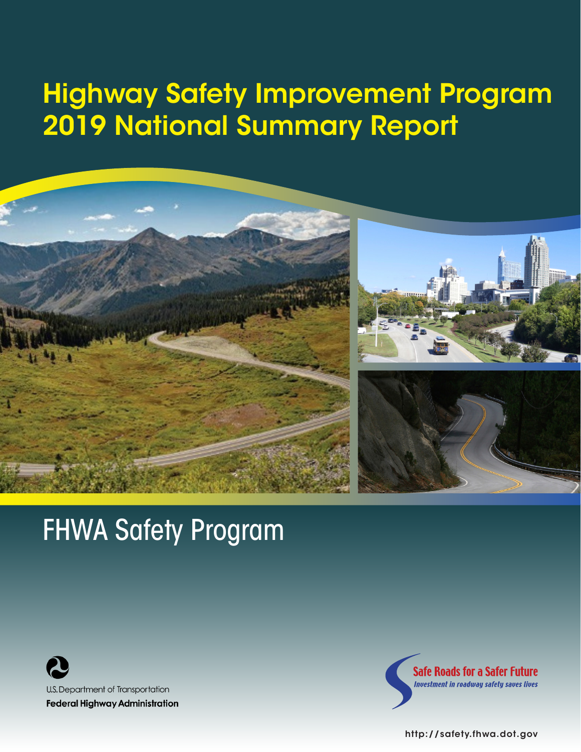# Highway Safety Improvement Program 2019 National Summary Report



# FHWA Safety Program





<http://safety.fhwa.dot.gov>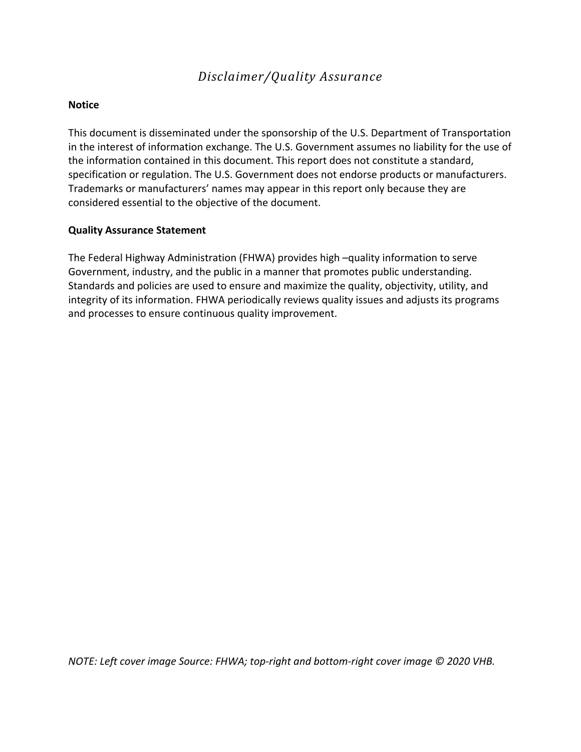### *Disclaimer/Quality Assurance*

#### **Notice**

This document is disseminated under the sponsorship of the U.S. Department of Transportation in the interest of information exchange. The U.S. Government assumes no liability for the use of the information contained in this document. This report does not constitute a standard, specification or regulation. The U.S. Government does not endorse products or manufacturers. Trademarks or manufacturers' names may appear in this report only because they are considered essential to the objective of the document.

#### **Quality Assurance Statement**

The Federal Highway Administration (FHWA) provides high –quality information to serve Government, industry, and the public in a manner that promotes public understanding. Standards and policies are used to ensure and maximize the quality, objectivity, utility, and integrity of its information. FHWA periodically reviews quality issues and adjusts its programs and processes to ensure continuous quality improvement.

*NOTE: Left cover image Source: FHWA; top-right and bottom-right cover image © 2020 VHB.*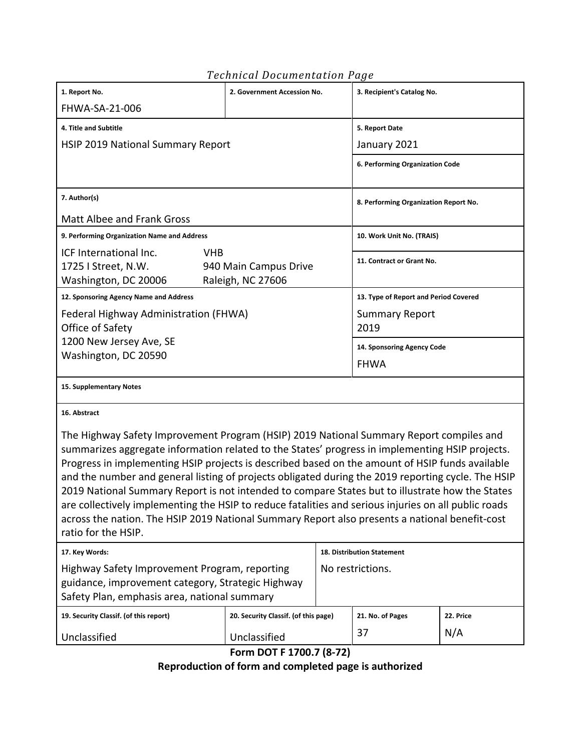|                                                                                                                                                                                                                                                                                                                                                                                                                                                                                                                                                                                                                                                                                                                                         | ennoù boeannen a en an ag e          |                                       |                                       |           |  |
|-----------------------------------------------------------------------------------------------------------------------------------------------------------------------------------------------------------------------------------------------------------------------------------------------------------------------------------------------------------------------------------------------------------------------------------------------------------------------------------------------------------------------------------------------------------------------------------------------------------------------------------------------------------------------------------------------------------------------------------------|--------------------------------------|---------------------------------------|---------------------------------------|-----------|--|
| 1. Report No.                                                                                                                                                                                                                                                                                                                                                                                                                                                                                                                                                                                                                                                                                                                           | 2. Government Accession No.          |                                       | 3. Recipient's Catalog No.            |           |  |
| FHWA-SA-21-006                                                                                                                                                                                                                                                                                                                                                                                                                                                                                                                                                                                                                                                                                                                          |                                      |                                       |                                       |           |  |
| 4. Title and Subtitle                                                                                                                                                                                                                                                                                                                                                                                                                                                                                                                                                                                                                                                                                                                   |                                      | 5. Report Date                        |                                       |           |  |
| <b>HSIP 2019 National Summary Report</b>                                                                                                                                                                                                                                                                                                                                                                                                                                                                                                                                                                                                                                                                                                |                                      |                                       | January 2021                          |           |  |
|                                                                                                                                                                                                                                                                                                                                                                                                                                                                                                                                                                                                                                                                                                                                         |                                      |                                       | 6. Performing Organization Code       |           |  |
| 7. Author(s)                                                                                                                                                                                                                                                                                                                                                                                                                                                                                                                                                                                                                                                                                                                            |                                      | 8. Performing Organization Report No. |                                       |           |  |
| <b>Matt Albee and Frank Gross</b>                                                                                                                                                                                                                                                                                                                                                                                                                                                                                                                                                                                                                                                                                                       |                                      |                                       |                                       |           |  |
| 9. Performing Organization Name and Address                                                                                                                                                                                                                                                                                                                                                                                                                                                                                                                                                                                                                                                                                             |                                      |                                       | 10. Work Unit No. (TRAIS)             |           |  |
| ICF International Inc.<br><b>VHB</b><br>1725 I Street, N.W.<br>940 Main Campus Drive<br>Washington, DC 20006<br>Raleigh, NC 27606                                                                                                                                                                                                                                                                                                                                                                                                                                                                                                                                                                                                       |                                      | 11. Contract or Grant No.             |                                       |           |  |
| 12. Sponsoring Agency Name and Address                                                                                                                                                                                                                                                                                                                                                                                                                                                                                                                                                                                                                                                                                                  |                                      |                                       | 13. Type of Report and Period Covered |           |  |
| Federal Highway Administration (FHWA)<br>Office of Safety                                                                                                                                                                                                                                                                                                                                                                                                                                                                                                                                                                                                                                                                               |                                      | <b>Summary Report</b><br>2019         |                                       |           |  |
| 1200 New Jersey Ave, SE                                                                                                                                                                                                                                                                                                                                                                                                                                                                                                                                                                                                                                                                                                                 |                                      |                                       | 14. Sponsoring Agency Code            |           |  |
| Washington, DC 20590                                                                                                                                                                                                                                                                                                                                                                                                                                                                                                                                                                                                                                                                                                                    |                                      | <b>FHWA</b>                           |                                       |           |  |
| 15. Supplementary Notes                                                                                                                                                                                                                                                                                                                                                                                                                                                                                                                                                                                                                                                                                                                 |                                      |                                       |                                       |           |  |
| 16. Abstract                                                                                                                                                                                                                                                                                                                                                                                                                                                                                                                                                                                                                                                                                                                            |                                      |                                       |                                       |           |  |
| The Highway Safety Improvement Program (HSIP) 2019 National Summary Report compiles and<br>summarizes aggregate information related to the States' progress in implementing HSIP projects.<br>Progress in implementing HSIP projects is described based on the amount of HSIP funds available<br>and the number and general listing of projects obligated during the 2019 reporting cycle. The HSIP<br>2019 National Summary Report is not intended to compare States but to illustrate how the States<br>are collectively implementing the HSIP to reduce fatalities and serious injuries on all public roads<br>across the nation. The HSIP 2019 National Summary Report also presents a national benefit-cost<br>ratio for the HSIP. |                                      |                                       |                                       |           |  |
| 17. Key Words:                                                                                                                                                                                                                                                                                                                                                                                                                                                                                                                                                                                                                                                                                                                          |                                      |                                       | <b>18. Distribution Statement</b>     |           |  |
| Highway Safety Improvement Program, reporting<br>guidance, improvement category, Strategic Highway<br>Safety Plan, emphasis area, national summary                                                                                                                                                                                                                                                                                                                                                                                                                                                                                                                                                                                      |                                      | No restrictions.                      |                                       |           |  |
| 19. Security Classif. (of this report)                                                                                                                                                                                                                                                                                                                                                                                                                                                                                                                                                                                                                                                                                                  | 20. Security Classif. (of this page) |                                       | 21. No. of Pages                      | 22. Price |  |
| Unclassified                                                                                                                                                                                                                                                                                                                                                                                                                                                                                                                                                                                                                                                                                                                            | Unclassified                         |                                       | 37                                    | N/A       |  |

#### *Technical Documentation Page*

**Form DOT F 1700.7 (8-72)**

**Reproduction of form and completed page is authorized**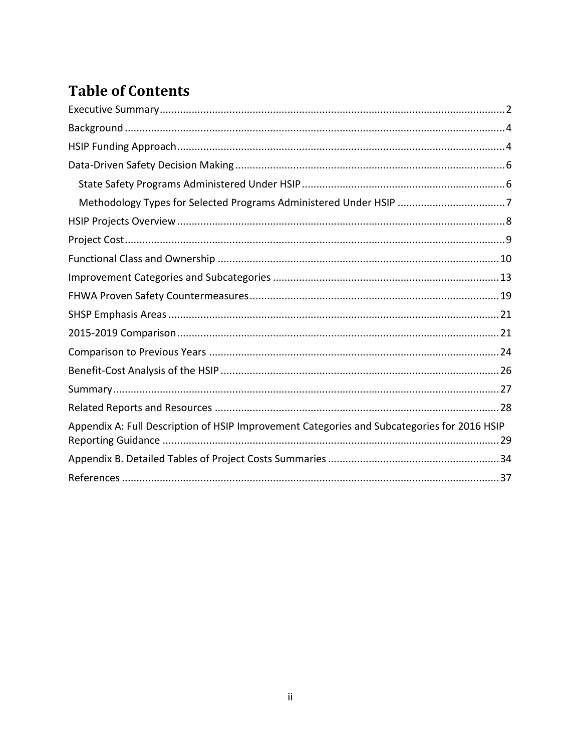# **Table of Contents**

| Methodology Types for Selected Programs Administered Under HSIP 7                           |
|---------------------------------------------------------------------------------------------|
|                                                                                             |
|                                                                                             |
|                                                                                             |
|                                                                                             |
|                                                                                             |
|                                                                                             |
|                                                                                             |
|                                                                                             |
|                                                                                             |
|                                                                                             |
|                                                                                             |
| Appendix A: Full Description of HSIP Improvement Categories and Subcategories for 2016 HSIP |
|                                                                                             |
|                                                                                             |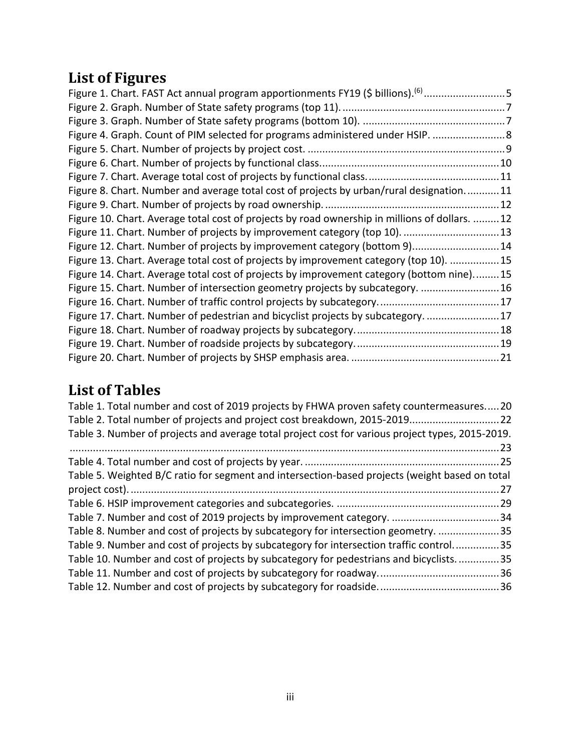# **List of Figures**

| Figure 1. Chart. FAST Act annual program apportionments FY19 (\$ billions). <sup>(6)</sup> 5  |  |
|-----------------------------------------------------------------------------------------------|--|
|                                                                                               |  |
|                                                                                               |  |
| Figure 4. Graph. Count of PIM selected for programs administered under HSIP.  8               |  |
|                                                                                               |  |
|                                                                                               |  |
|                                                                                               |  |
| Figure 8. Chart. Number and average total cost of projects by urban/rural designation11       |  |
|                                                                                               |  |
| Figure 10. Chart. Average total cost of projects by road ownership in millions of dollars. 12 |  |
| Figure 11. Chart. Number of projects by improvement category (top 10). 13                     |  |
| Figure 12. Chart. Number of projects by improvement category (bottom 9) 14                    |  |
| Figure 13. Chart. Average total cost of projects by improvement category (top 10). 15         |  |
| Figure 14. Chart. Average total cost of projects by improvement category (bottom nine)15      |  |
| Figure 15. Chart. Number of intersection geometry projects by subcategory.  16                |  |
|                                                                                               |  |
| Figure 17. Chart. Number of pedestrian and bicyclist projects by subcategory.  17             |  |
|                                                                                               |  |
|                                                                                               |  |
|                                                                                               |  |

# **List of Tables**

| Table 1. Total number and cost of 2019 projects by FHWA proven safety countermeasures20          |      |
|--------------------------------------------------------------------------------------------------|------|
| Table 2. Total number of projects and project cost breakdown, 2015-2019 22                       |      |
| Table 3. Number of projects and average total project cost for various project types, 2015-2019. |      |
|                                                                                                  |      |
|                                                                                                  |      |
| Table 5. Weighted B/C ratio for segment and intersection-based projects (weight based on total   |      |
|                                                                                                  | . 27 |
|                                                                                                  |      |
|                                                                                                  |      |
| Table 8. Number and cost of projects by subcategory for intersection geometry. 35                |      |
| Table 9. Number and cost of projects by subcategory for intersection traffic control35           |      |
| Table 10. Number and cost of projects by subcategory for pedestrians and bicyclists35            |      |
|                                                                                                  |      |
|                                                                                                  |      |
|                                                                                                  |      |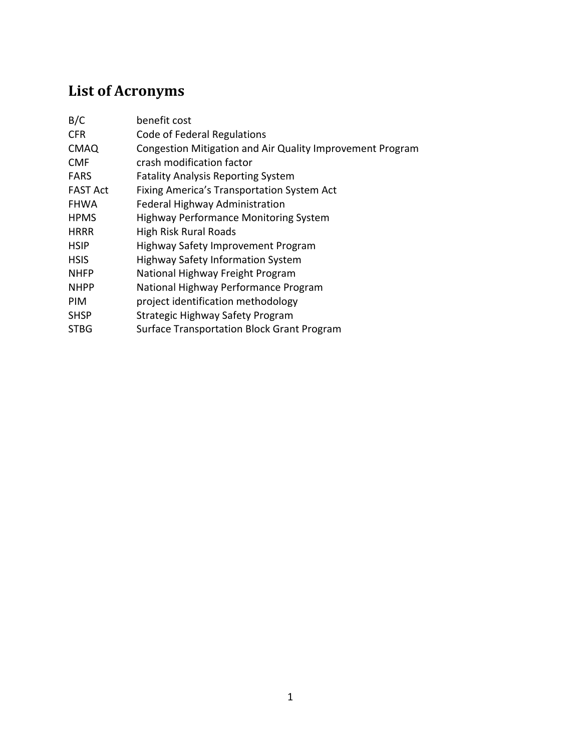# **List of Acronyms**

| benefit cost                                              |
|-----------------------------------------------------------|
| Code of Federal Regulations                               |
| Congestion Mitigation and Air Quality Improvement Program |
| crash modification factor                                 |
| <b>Fatality Analysis Reporting System</b>                 |
| Fixing America's Transportation System Act                |
| Federal Highway Administration                            |
| <b>Highway Performance Monitoring System</b>              |
| <b>High Risk Rural Roads</b>                              |
| Highway Safety Improvement Program                        |
| <b>Highway Safety Information System</b>                  |
| National Highway Freight Program                          |
| National Highway Performance Program                      |
| project identification methodology                        |
| Strategic Highway Safety Program                          |
| <b>Surface Transportation Block Grant Program</b>         |
|                                                           |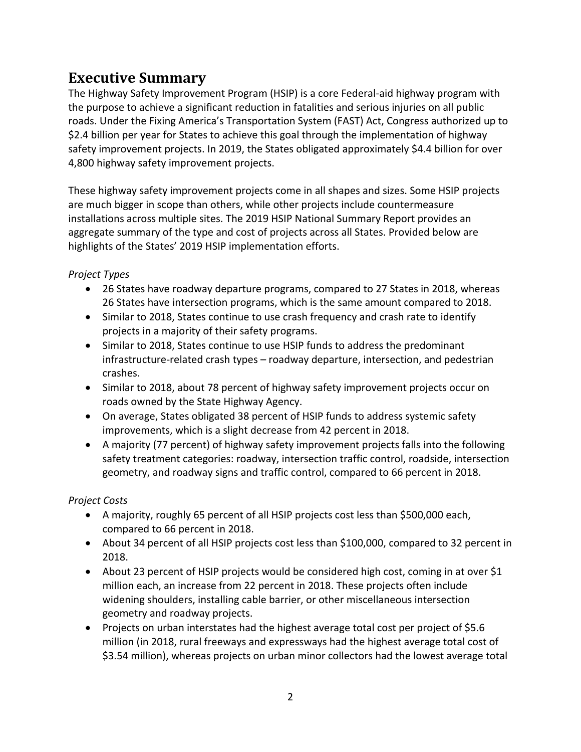### <span id="page-6-0"></span>**Executive Summary**

The Highway Safety Improvement Program (HSIP) is a core Federal-aid highway program with the purpose to achieve a significant reduction in fatalities and serious injuries on all public roads. Under the Fixing America's Transportation System (FAST) Act, Congress authorized up to \$2.4 billion per year for States to achieve this goal through the implementation of highway safety improvement projects. In 2019, the States obligated approximately \$4.4 billion for over 4,800 highway safety improvement projects.

These highway safety improvement projects come in all shapes and sizes. Some HSIP projects are much bigger in scope than others, while other projects include countermeasure installations across multiple sites. The 2019 HSIP National Summary Report provides an aggregate summary of the type and cost of projects across all States. Provided below are highlights of the States' 2019 HSIP implementation efforts.

#### *Project Types*

- 26 States have roadway departure programs, compared to 27 States in 2018, whereas 26 States have intersection programs, which is the same amount compared to 2018.
- Similar to 2018, States continue to use crash frequency and crash rate to identify projects in a majority of their safety programs.
- Similar to 2018, States continue to use HSIP funds to address the predominant infrastructure-related crash types – roadway departure, intersection, and pedestrian crashes.
- Similar to 2018, about 78 percent of highway safety improvement projects occur on roads owned by the State Highway Agency.
- On average, States obligated 38 percent of HSIP funds to address systemic safety improvements, which is a slight decrease from 42 percent in 2018.
- A majority (77 percent) of highway safety improvement projects falls into the following safety treatment categories: roadway, intersection traffic control, roadside, intersection geometry, and roadway signs and traffic control, compared to 66 percent in 2018.

#### *Project Costs*

- A majority, roughly 65 percent of all HSIP projects cost less than \$500,000 each, compared to 66 percent in 2018.
- About 34 percent of all HSIP projects cost less than \$100,000, compared to 32 percent in 2018.
- About 23 percent of HSIP projects would be considered high cost, coming in at over \$1 million each, an increase from 22 percent in 2018. These projects often include widening shoulders, installing cable barrier, or other miscellaneous intersection geometry and roadway projects.
- Projects on urban interstates had the highest average total cost per project of \$5.6 million (in 2018, rural freeways and expressways had the highest average total cost of \$3.54 million), whereas projects on urban minor collectors had the lowest average total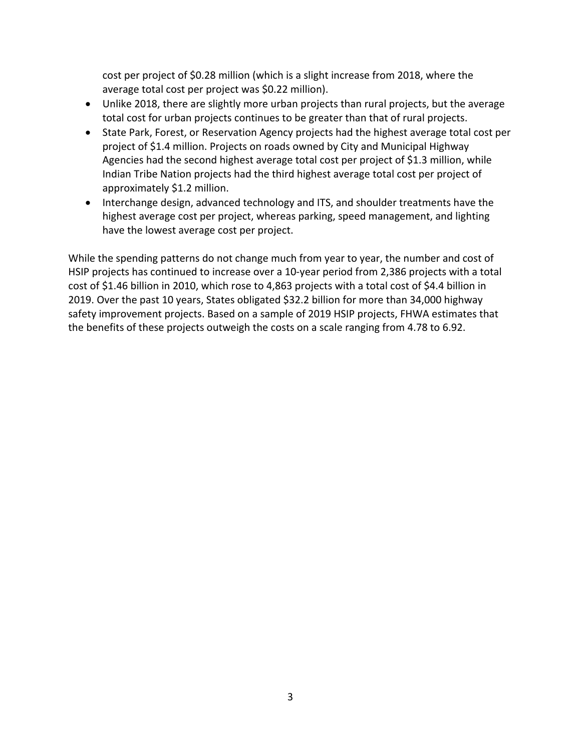cost per project of \$0.28 million (which is a slight increase from 2018, where the average total cost per project was \$0.22 million).

- Unlike 2018, there are slightly more urban projects than rural projects, but the average total cost for urban projects continues to be greater than that of rural projects.
- State Park, Forest, or Reservation Agency projects had the highest average total cost per project of \$1.4 million. Projects on roads owned by City and Municipal Highway Agencies had the second highest average total cost per project of \$1.3 million, while Indian Tribe Nation projects had the third highest average total cost per project of approximately \$1.2 million.
- Interchange design, advanced technology and ITS, and shoulder treatments have the highest average cost per project, whereas parking, speed management, and lighting have the lowest average cost per project.

While the spending patterns do not change much from year to year, the number and cost of HSIP projects has continued to increase over a 10-year period from 2,386 projects with a total cost of \$1.46 billion in 2010, which rose to 4,863 projects with a total cost of \$4.4 billion in 2019. Over the past 10 years, States obligated \$32.2 billion for more than 34,000 highway safety improvement projects. Based on a sample of 2019 HSIP projects, FHWA estimates that the benefits of these projects outweigh the costs on a scale ranging from 4.78 to 6.92.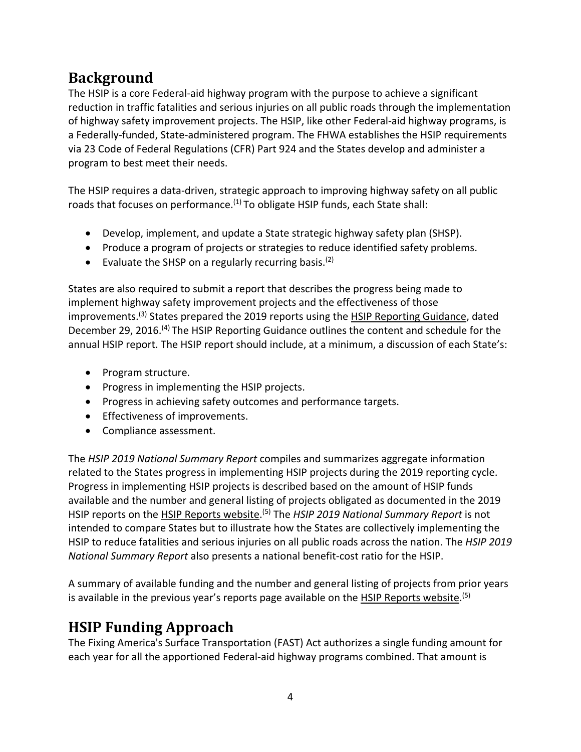# <span id="page-8-0"></span>**Background**

The HSIP is a core Federal-aid highway program with the purpose to achieve a significant reduction in traffic fatalities and serious injuries on all public roads through the implementation of highway safety improvement projects. The HSIP, like other Federal-aid highway programs, is a Federally-funded, State-administered program. The FHWA establishes the HSIP requirements via 23 Code of Federal Regulations (CFR) Part 924 and the States develop and administer a program to best meet their needs.

The HSIP requires a data-driven, strategic approach to improving highway safety on all public roads that focuses on performance.<sup>[\(1\)](#page-41-1)</sup> To obligate HSIP funds, each State shall:

- Develop, implement, and update a State strategic highway safety plan (SHSP).
- Produce a program of projects or strategies to reduce identified safety problems.
- Evaluate the SHSP on a regularly recurring basis.<sup>[\(2\)](#page-41-2)</sup>

States are also required to submit a report that describes the progress being made to implement highway safety improvement projects and the effectiveness of those improvements.<sup>(3)</sup> States prepared the 2019 reports using the [HSIP Reporting Guidance,](https://safety.fhwa.dot.gov/legislationandpolicy/fast/hsip_reporting_guidance.cfm) dated December 29, 2016.<sup>[\(4\)](#page-41-4)</sup> The HSIP Reporting Guidance outlines the content and schedule for the annual HSIP report. The HSIP report should include, at a minimum, a discussion of each State's:

- [Program structure.](http://safety.fhwa.dot.gov/safetealu/guides/guide051509.cfm#a3a)
- [Progress in implementing the HSIP projects.](http://safety.fhwa.dot.gov/safetealu/guides/guide051509.cfm#a3b)
- Progress in achieving safety outcomes and performance targets.
- [Effectiveness of improvements.](http://safety.fhwa.dot.gov/safetealu/guides/guide051509.cfm#a3c)
- Compliance assessment.

The *HSIP 2019 National Summary Report* compiles and summarizes aggregate information related to the States progress in implementing HSIP projects during the 2019 reporting cycle. Progress in implementing HSIP projects is described based on the amount of HSIP funds available and the number and general listing of projects obligated as documented in the 2019 HSIP reports on the [HSIP Reports website.](http://safety.fhwa.dot.gov/hsip/reports) [\(5\)](#page-41-5) The *HSIP 2019 National Summary Report* is not intended to compare States but to illustrate how the States are collectively implementing the HSIP to reduce fatalities and serious injuries on all public roads across the nation. The *HSIP 2019 National Summary Report* also presents a national benefit-cost ratio for the HSIP.

A summary of available funding and the number and general listing of projects from prior years is available in the previous year's reports page available on the [HSIP Reports website.](https://safety.fhwa.dot.gov/hsip/reports/)<sup>[\(5\)](#page-41-5)</sup>

# <span id="page-8-1"></span>**HSIP Funding Approach**

The Fixing America's Surface Transportation (FAST) Act authorizes a single funding amount for each year for all the apportioned Federal-aid highway programs combined. That amount is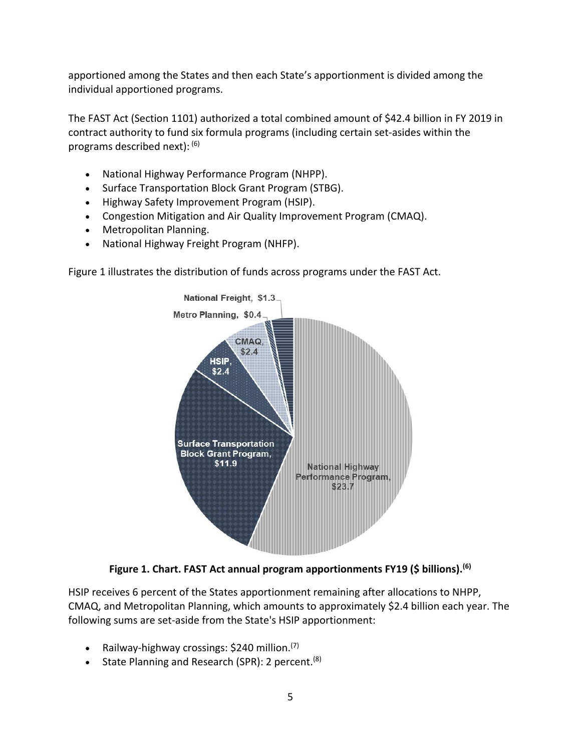apportioned among the States and then each State's apportionment is divided among the individual apportioned programs.

The FAST Act (Section 1101) authorized a total combined amount of \$42.4 billion in FY 2019 in contract authority to fund six formula programs (including certain set-asides within the programs described next): [\(6\)](#page-41-6)

- National Highway Performance Program (NHPP).
- Surface Transportation Block Grant Program (STBG).
- Highway Safety Improvement Program (HSIP).
- Congestion Mitigation and Air Quality Improvement Program (CMAQ).
- Metropolitan Planning.
- National Highway Freight Program (NHFP).

[Figure 1](#page-9-0) illustrates the distribution of funds across programs under the FAST Act.



**Figure 1. Chart. FAST Act annual program apportionments FY19 (\$ billions). [\(6\)](#page-41-6)**

<span id="page-9-0"></span>HSIP receives 6 percent of the States apportionment remaining after allocations to NHPP, CMAQ, and Metropolitan Planning, which amounts to approximately \$2.4 billion each year. The following sums are set-aside from the State's HSIP apportionment:

- Railway-highway crossings: \$240 million.<sup>[\(7\)](#page-41-7)</sup>
- State Planning and Research (SPR): 2 percent.<sup>[\(8\)](#page-41-8)</sup>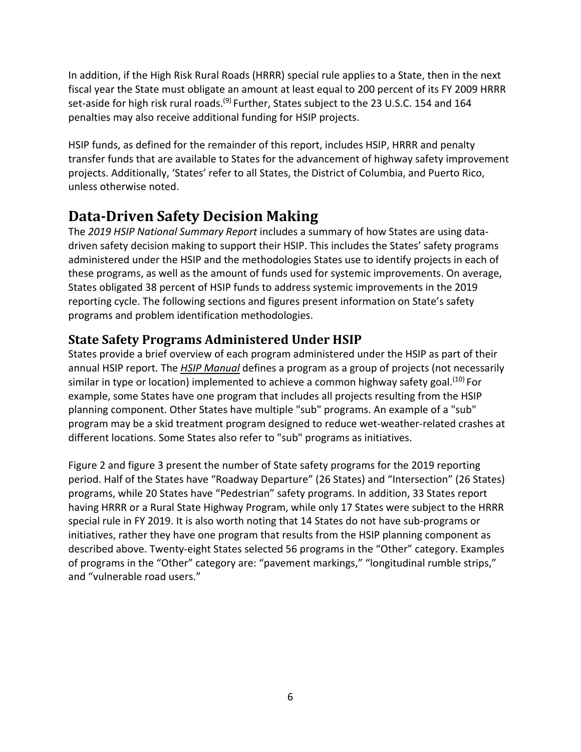In addition, if the High Risk Rural Roads (HRRR) special rule applies to a State, then in the next fiscal year the State must obligate an amount at least equal to 200 percent of its FY 2009 HRRR set-aside for high risk rural roads.<sup>(9)</sup> Further, States subject to the 23 U.S.C. 154 and 164 penalties may also receive additional funding for HSIP projects.

HSIP funds, as defined for the remainder of this report, includes HSIP, HRRR and penalty transfer funds that are available to States for the advancement of highway safety improvement projects. Additionally, 'States' refer to all States, the District of Columbia, and Puerto Rico, unless otherwise noted.

### <span id="page-10-0"></span>**Data-Driven Safety Decision Making**

The *2019 HSIP National Summary Report* includes a summary of how States are using datadriven safety decision making to support their HSIP. This includes the States' safety programs administered under the HSIP and the methodologies States use to identify projects in each of these programs, as well as the amount of funds used for systemic improvements. On average, States obligated 38 percent of HSIP funds to address systemic improvements in the 2019 reporting cycle. The following sections and figures present information on State's safety programs and problem identification methodologies.

### <span id="page-10-1"></span>**State Safety Programs Administered Under HSIP**

States provide a brief overview of each program administered under the HSIP as part of their annual HSIP report. The *[HSIP Manual](https://safety.fhwa.dot.gov/hsip/resources/fhwasa09029/)* defines a program as a group of projects (not necessarily similar in type or location) implemented to achieve a common highway safety goal.<sup>(10)</sup> For example, some States have one program that includes all projects resulting from the HSIP planning component. Other States have multiple "sub" programs. An example of a "sub" program may be a skid treatment program designed to reduce wet-weather-related crashes at different locations. Some States also refer to "sub" programs as initiatives.

[Figure 2](#page-11-1) and [figure 3 p](#page-11-2)resent the number of State safety programs for the 2019 reporting period. Half of the States have "Roadway Departure" (26 States) and "Intersection" (26 States) programs, while 20 States have "Pedestrian" safety programs. In addition, 33 States report having HRRR or a Rural State Highway Program, while only 17 States were subject to the HRRR special rule in FY 2019. It is also worth noting that 14 States do not have sub-programs or initiatives, rather they have one program that results from the HSIP planning component as described above. Twenty-eight States selected 56 programs in the "Other" category. Examples of programs in the "Other" category are: "pavement markings," "longitudinal rumble strips," and "vulnerable road users."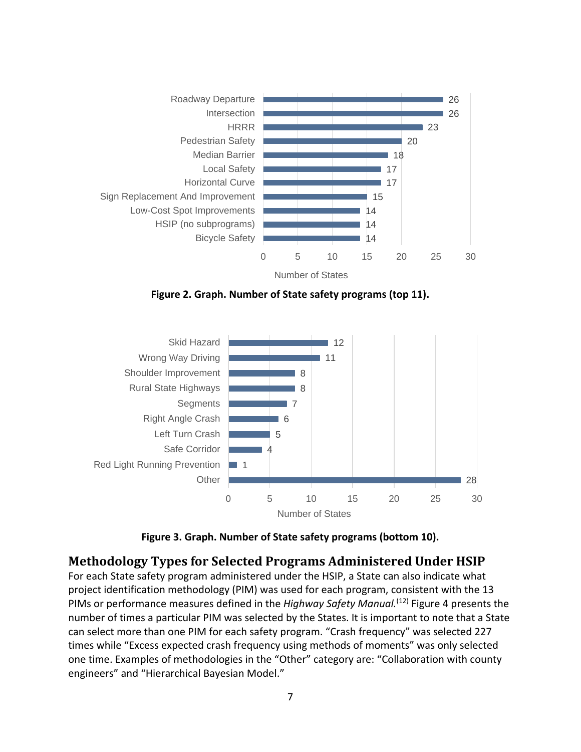

**Figure 2. Graph. Number of State safety programs (top 11).** 

<span id="page-11-1"></span>

**Figure 3. Graph. Number of State safety programs (bottom 10).** 

#### <span id="page-11-2"></span><span id="page-11-0"></span>**Methodology Types for Selected Programs Administered Under HSIP**

For each State safety program administered under the HSIP, a State can also indicate what project identification methodology (PIM) was used for each program, consistent with the 13 PIMs or performance measures defined in the *Highway Safety Manual*.<sup>[\(12\)](#page-41-11)</sup> Figure 4 presents the number of times a particular PIM was selected by the States. It is important to note that a State can select more than one PIM for each safety program. "Crash frequency" was selected 227 times while "Excess expected crash frequency using methods of moments" was only selected one time. Examples of methodologies in the "Other" category are: "Collaboration with county engineers" and "Hierarchical Bayesian Model."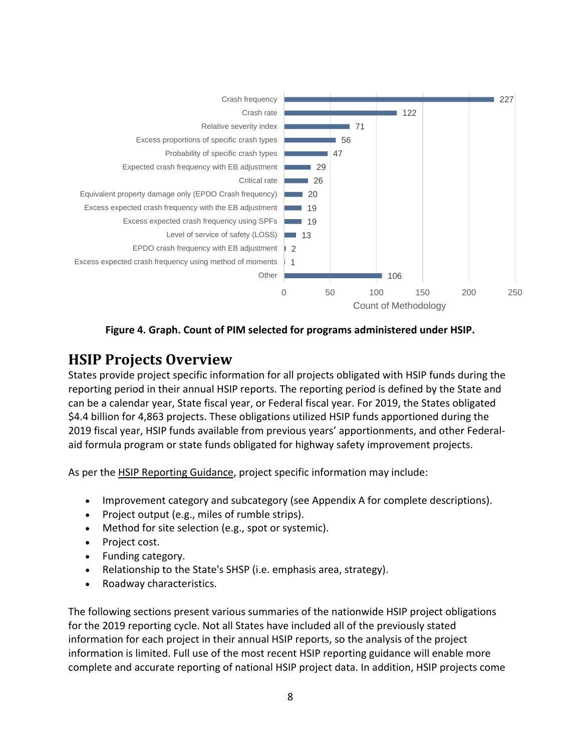

**Figure 4. Graph. Count of PIM selected for programs administered under HSIP.** 

### <span id="page-12-1"></span><span id="page-12-0"></span>**HSIP Projects Overview**

States provide project specific information for all projects obligated with HSIP funds during the reporting period in their annual HSIP reports. The reporting period is defined by the State and can be a calendar year, State fiscal year, or Federal fiscal year. For 2019, the States obligated \$4.4 billion for 4,863 projects. These obligations utilized HSIP funds apportioned during the 2019 fiscal year, HSIP funds available from previous years' apportionments, and other Federalaid formula program or state funds obligated for highway safety improvement projects.

As per the **HSIP Reporting Guidance**, project specific information may include:

- Improvement category and subcategory (see Appendix A for complete descriptions).
- Project output (e.g., miles of rumble strips).
- Method for site selection (e.g., spot or systemic).
- Project cost.
- Funding category.
- Relationship to the State's SHSP (i.e. emphasis area, strategy).
- Roadway characteristics.

The following sections present various summaries of the nationwide HSIP project obligations for the 2019 reporting cycle. Not all States have included all of the previously stated information for each project in their annual HSIP reports, so the analysis of the project information is limited. Full use of the most recent HSIP reporting guidance will enable more complete and accurate reporting of national HSIP project data. In addition, HSIP projects come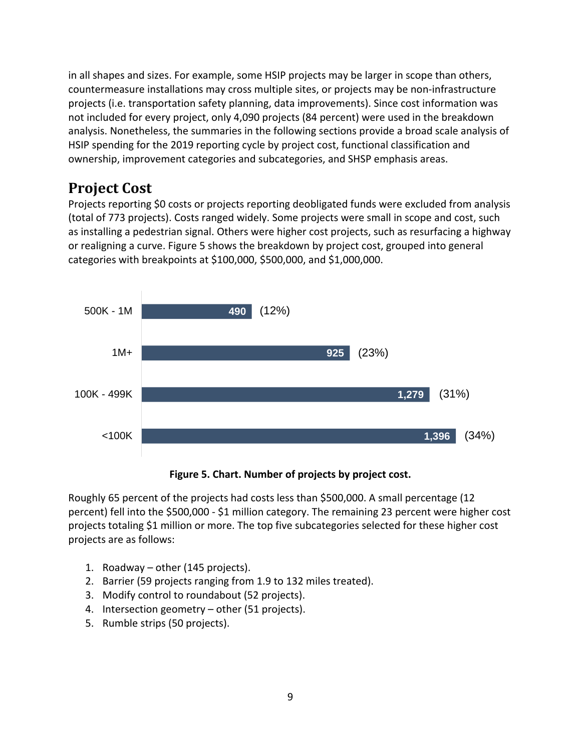in all shapes and sizes. For example, some HSIP projects may be larger in scope than others, countermeasure installations may cross multiple sites, or projects may be non-infrastructure projects (i.e. transportation safety planning, data improvements). Since cost information was not included for every project, only 4,090 projects (84 percent) were used in the breakdown analysis. Nonetheless, the summaries in the following sections provide a broad scale analysis of HSIP spending for the 2019 reporting cycle by project cost, functional classification and ownership, improvement categories and subcategories, and SHSP emphasis areas.

### <span id="page-13-0"></span>**Project Cost**

Projects reporting \$0 costs or projects reporting deobligated funds were excluded from analysis (total of 773 projects). Costs ranged widely. Some projects were small in scope and cost, such as installing a pedestrian signal. Others were higher cost projects, such as resurfacing a highway or realigning a curve. [Figure 5](#page-13-1) shows the breakdown by project cost, grouped into general categories with breakpoints at \$100,000, \$500,000, and \$1,000,000.



**Figure 5. Chart. Number of projects by project cost.** 

<span id="page-13-1"></span>Roughly 65 percent of the projects had costs less than \$500,000. A small percentage (12 percent) fell into the \$500,000 - \$1 million category. The remaining 23 percent were higher cost projects totaling \$1 million or more. The top five subcategories selected for these higher cost projects are as follows:

- 1. Roadway other (145 projects).
- 2. Barrier (59 projects ranging from 1.9 to 132 miles treated).
- 3. Modify control to roundabout (52 projects).
- 4. Intersection geometry other (51 projects).
- 5. Rumble strips (50 projects).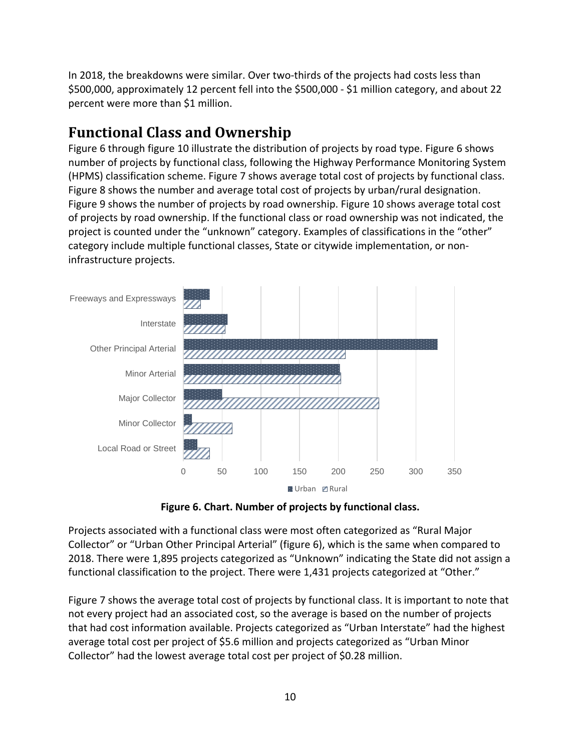In 2018, the breakdowns were similar. Over two-thirds of the projects had costs less than \$500,000, approximately 12 percent fell into the \$500,000 - \$1 million category, and about 22 percent were more than \$1 million.

## <span id="page-14-0"></span>**Functional Class and Ownership**

[Figure 6](#page-14-1) throug[h figure 10](#page-16-1) illustrate the distribution of projects by road type. [Figure 6](#page-14-1) shows number of projects by functional class, following the Highway Performance Monitoring System (HPMS) classification scheme. [Figure 7](#page-15-0) shows average total cost of projects by functional class. [Figure 8](#page-15-1) shows the number and average total cost of projects by urban/rural designation. Figure 9 shows the number of projects by road ownership. [Figure 10](#page-16-1) shows average total cost of projects by road ownership. If the functional class or road ownership was not indicated, the project is counted under the "unknown" category. Examples of classifications in the "other" category include multiple functional classes, State or citywide implementation, or noninfrastructure projects.



**Figure 6. Chart. Number of projects by functional class.** 

<span id="page-14-1"></span>Projects associated with a functional class were most often categorized as "Rural Major Collector" or "Urban Other Principal Arterial" [\(figure 6\)](#page-14-1), which is the same when compared to 2018. There were 1,895 projects categorized as "Unknown" indicating the State did not assign a functional classification to the project. There were 1,431 projects categorized at "Other."

[Figure 7](#page-15-0) shows the average total cost of projects by functional class. It is important to note that not every project had an associated cost, so the average is based on the number of projects that had cost information available. Projects categorized as "Urban Interstate" had the highest average total cost per project of \$5.6 million and projects categorized as "Urban Minor Collector" had the lowest average total cost per project of \$0.28 million.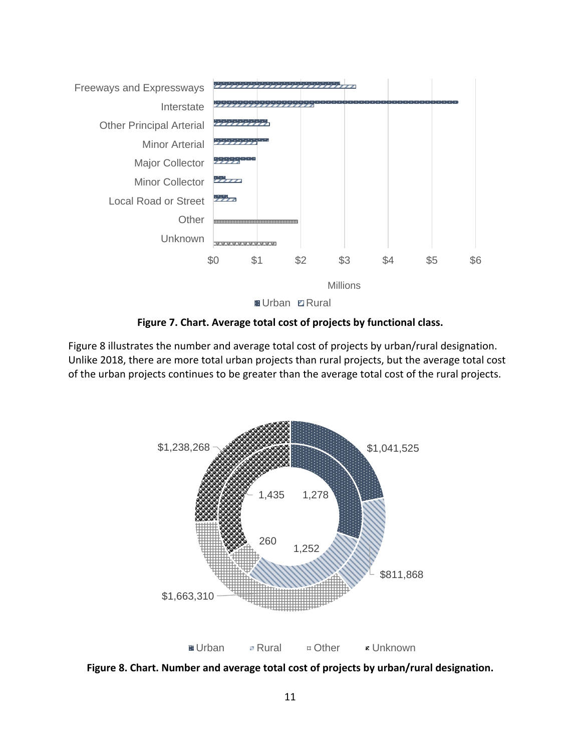

**Figure 7. Chart. Average total cost of projects by functional class.** 

<span id="page-15-0"></span>[Figure 8](#page-15-1) illustrates the number and average total cost of projects by urban/rural designation. Unlike 2018, there are more total urban projects than rural projects, but the average total cost of the urban projects continues to be greater than the average total cost of the rural projects.



<span id="page-15-1"></span>**Figure 8. Chart. Number and average total cost of projects by urban/rural designation.**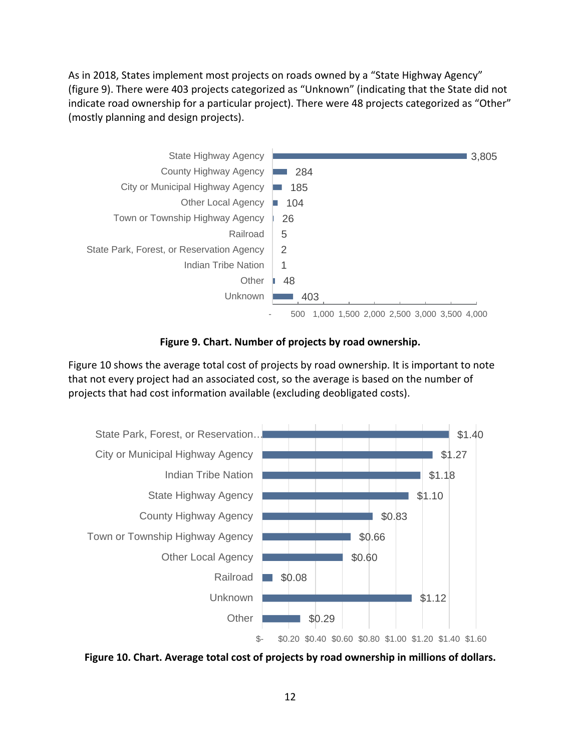As in 2018, States implement most projects on roads owned by a "State Highway Agency" [\(figure 9\)](#page-16-0). There were 403 projects categorized as "Unknown" (indicating that the State did not indicate road ownership for a particular project). There were 48 projects categorized as "Other" (mostly planning and design projects).



**Figure 9. Chart. Number of projects by road ownership.** 

<span id="page-16-0"></span>[Figure 10](#page-16-1) shows the average total cost of projects by road ownership. It is important to note that not every project had an associated cost, so the average is based on the number of projects that had cost information available (excluding deobligated costs).



<span id="page-16-1"></span>**Figure 10. Chart. Average total cost of projects by road ownership in millions of dollars.**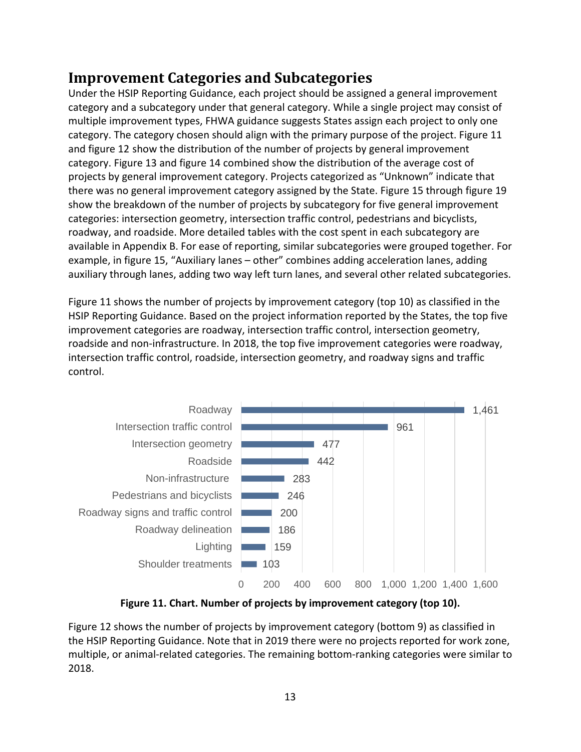### <span id="page-17-0"></span>**Improvement Categories and Subcategories**

Under the HSIP Reporting Guidance, each project should be assigned a general improvement category and a subcategory under that general category. While a single project may consist of multiple improvement types, FHWA guidance suggests States assign each project to only one category. The category chosen should align with the primary purpose of the project. [Figure 11](#page-17-1) and [figure 12](#page-18-0) show the distribution of the number of projects by general improvement category. [Figure 13](#page-19-0) and [figure 14](#page-19-1) combined show the distribution of the average cost of projects by general improvement category. Projects categorized as "Unknown" indicate that there was no general improvement category assigned by the State. [Figure 15](#page-20-0) through [figure 19](#page-23-1) show the breakdown of the number of projects by subcategory for five general improvement categories: intersection geometry, intersection traffic control, pedestrians and bicyclists, roadway, and roadside. More detailed tables with the cost spent in each subcategory are available in Appendix B. For ease of reporting, similar subcategories were grouped together. For example, in [figure 15,](#page-20-0) "Auxiliary lanes – other" combines adding acceleration lanes, adding auxiliary through lanes, adding two way left turn lanes, and several other related subcategories.

[Figure 11](#page-17-1) shows the number of projects by improvement category (top 10) as classified in the HSIP Reporting Guidance. Based on the project information reported by the States, the top five improvement categories are roadway, intersection traffic control, intersection geometry, roadside and non-infrastructure. In 2018, the top five improvement categories were roadway, intersection traffic control, roadside, intersection geometry, and roadway signs and traffic control.



**Figure 11. Chart. Number of projects by improvement category (top 10).** 

<span id="page-17-1"></span>[Figure 12](#page-18-0) shows the number of projects by improvement category (bottom 9) as classified in the HSIP Reporting Guidance. Note that in 2019 there were no projects reported for work zone, multiple, or animal-related categories. The remaining bottom-ranking categories were similar to 2018.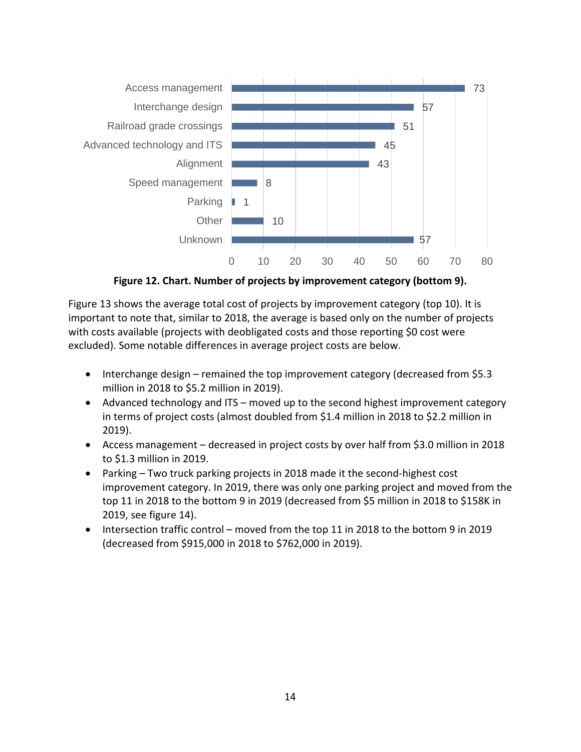

**Figure 12. Chart. Number of projects by improvement category (bottom 9).**

<span id="page-18-0"></span>[Figure 13](#page-19-0) shows the average total cost of projects by improvement category (top 10). It is important to note that, similar to 2018, the average is based only on the number of projects with costs available (projects with deobligated costs and those reporting \$0 cost were excluded). Some notable differences in average project costs are below.

- Interchange design remained the top improvement category (decreased from \$5.3 million in 2018 to \$5.2 million in 2019).
- Advanced technology and ITS moved up to the second highest improvement category in terms of project costs (almost doubled from \$1.4 million in 2018 to \$2.2 million in 2019).
- Access management decreased in project costs by over half from \$3.0 million in 2018 to \$1.3 million in 2019.
- Parking Two truck parking projects in 2018 made it the second-highest cost improvement category. In 2019, there was only one parking project and moved from the top 11 in 2018 to the bottom 9 in 2019 (decreased from \$5 million in 2018 to \$158K in 2019, see figure 14).
- Intersection traffic control moved from the top 11 in 2018 to the bottom 9 in 2019 (decreased from \$915,000 in 2018 to \$762,000 in 2019).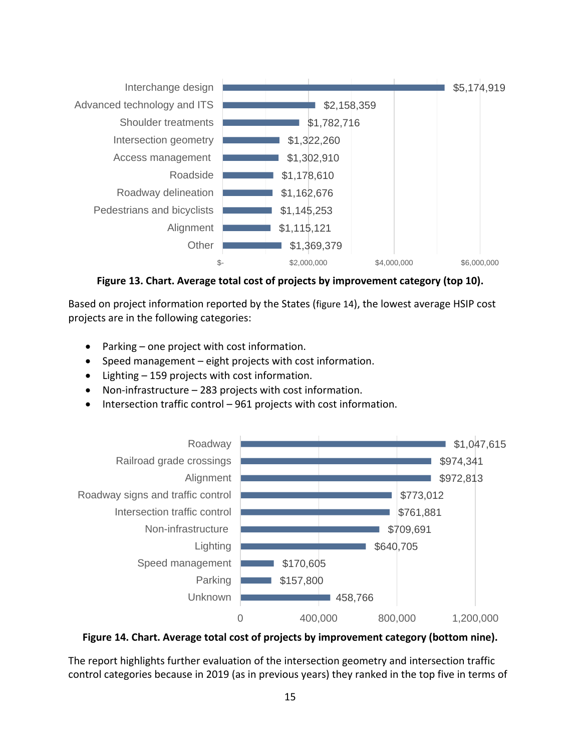

**Figure 13. Chart. Average total cost of projects by improvement category (top 10).** 

<span id="page-19-0"></span>Based on project information reported by the States [\(figure 14\)](#page-19-1), the lowest average HSIP cost projects are in the following categories:

- Parking one project with cost information.
- Speed management eight projects with cost information.
- Lighting 159 projects with cost information.
- Non-infrastructure  $-$  283 projects with cost information.
- Intersection traffic control 961 projects with cost information.



<span id="page-19-1"></span>**Figure 14. Chart. Average total cost of projects by improvement category (bottom nine).** 

The report highlights further evaluation of the intersection geometry and intersection traffic control categories because in 2019 (as in previous years) they ranked in the top five in terms of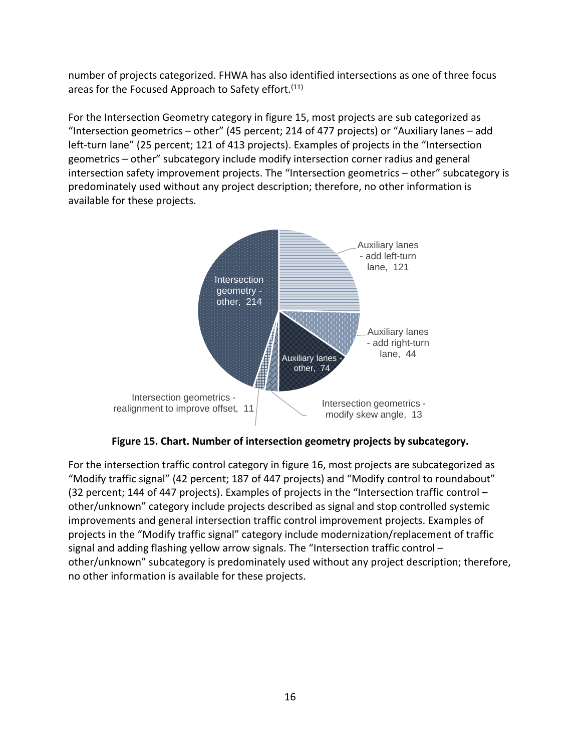number of projects categorized. FHWA has also identified intersections as one of three focus areas for the Focused Approach to Safety effort.<sup>[\(11\)](#page-41-12)</sup>

For the Intersection Geometry category in [figure 15,](#page-20-0) most projects are sub categorized as "Intersection geometrics – other" (45 percent; 214 of 477 projects) or "Auxiliary lanes – add left-turn lane" (25 percent; 121 of 413 projects). Examples of projects in the "Intersection geometrics – other" subcategory include modify intersection corner radius and general intersection safety improvement projects. The "Intersection geometrics – other" subcategory is predominately used without any project description; therefore, no other information is available for these projects.



**Figure 15. Chart. Number of intersection geometry projects by subcategory.** 

<span id="page-20-0"></span>For the intersection traffic control category in [figure 16,](#page-21-0) most projects are subcategorized as "Modify traffic signal" (42 percent; 187 of 447 projects) and "Modify control to roundabout" (32 percent; 144 of 447 projects). Examples of projects in the "Intersection traffic control – other/unknown" category include projects described as signal and stop controlled systemic improvements and general intersection traffic control improvement projects. Examples of projects in the "Modify traffic signal" category include modernization/replacement of traffic signal and adding flashing yellow arrow signals. The "Intersection traffic control – other/unknown" subcategory is predominately used without any project description; therefore, no other information is available for these projects.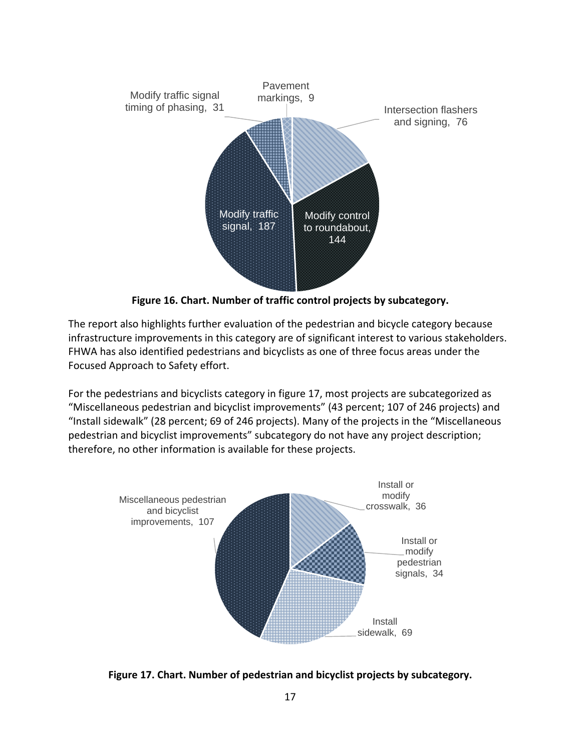

**Figure 16. Chart. Number of traffic control projects by subcategory.** 

<span id="page-21-0"></span>The report also highlights further evaluation of the pedestrian and bicycle category because infrastructure improvements in this category are of significant interest to various stakeholders. FHWA has also identified pedestrians and bicyclists as one of three focus areas under the Focused Approach to Safety effort.

For the pedestrians and bicyclists category in [figure 17,](#page-21-1) most projects are subcategorized as "Miscellaneous pedestrian and bicyclist improvements" (43 percent; 107 of 246 projects) and "Install sidewalk" (28 percent; 69 of 246 projects). Many of the projects in the "Miscellaneous pedestrian and bicyclist improvements" subcategory do not have any project description; therefore, no other information is available for these projects.



<span id="page-21-1"></span>**Figure 17. Chart. Number of pedestrian and bicyclist projects by subcategory.**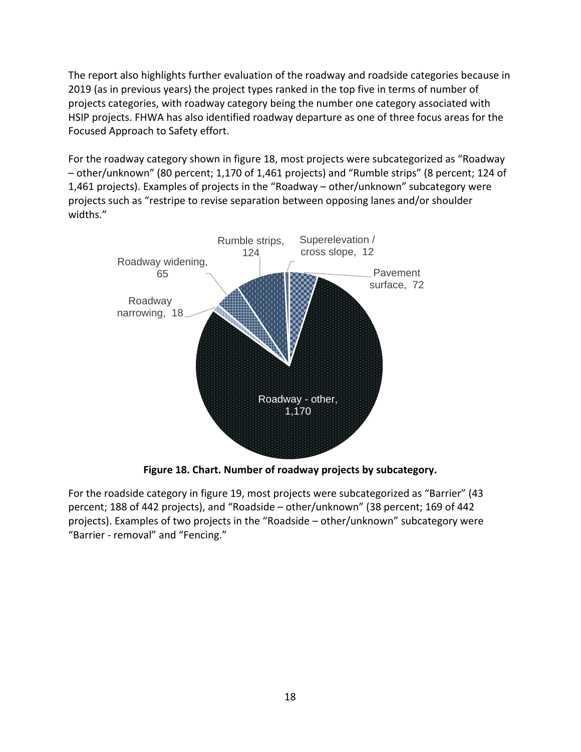The report also highlights further evaluation of the roadway and roadside categories because in 2019 (as in previous years) the project types ranked in the top five in terms of number of projects categories, with roadway category being the number one category associated with HSIP projects. FHWA has also identified roadway departure as one of three focus areas for the Focused Approach to Safety effort.

For the roadway category shown in [figure 18,](#page-22-0) most projects were subcategorized as "Roadway – other/unknown" (80 percent; 1,170 of 1,461 projects) and "Rumble strips" (8 percent; 124 of 1,461 projects). Examples of projects in the "Roadway – other/unknown" subcategory were projects such as "restripe to revise separation between opposing lanes and/or shoulder widths."



**Figure 18. Chart. Number of roadway projects by subcategory.** 

<span id="page-22-0"></span>For the roadside category in [figure 19,](#page-23-1) most projects were subcategorized as "Barrier" (43 percent; 188 of 442 projects), and "Roadside – other/unknown" (38 percent; 169 of 442 projects). Examples of two projects in the "Roadside – other/unknown" subcategory were "Barrier - removal" and "Fencing."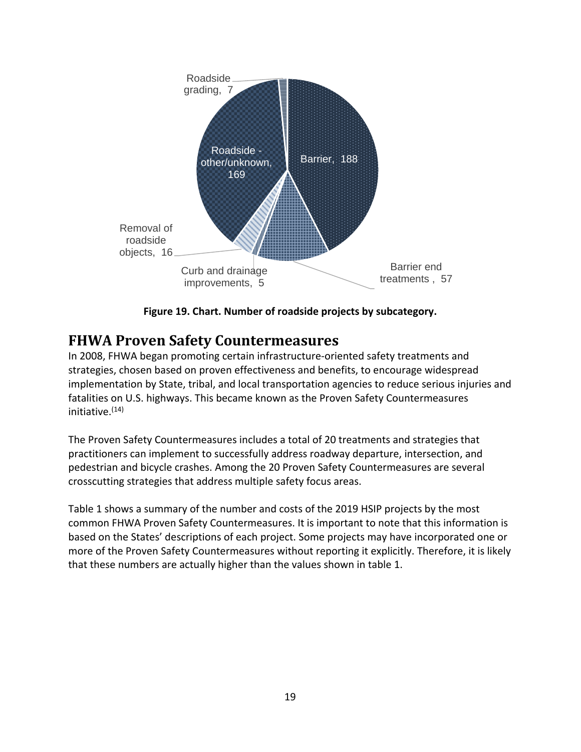

**Figure 19. Chart. Number of roadside projects by subcategory.** 

### <span id="page-23-1"></span><span id="page-23-0"></span>**FHWA Proven Safety Countermeasures**

In 2008, FHWA began promoting certain infrastructure-oriented safety treatments and strategies, chosen based on proven effectiveness and benefits, to encourage widespread implementation by State, tribal, and local transportation agencies to reduce serious injuries and fatalities on U.S. highways. This became known as the Proven Safety Countermeasures  $initative<sub>14</sub>$ 

The Proven Safety Countermeasures includes a total of 20 treatments and strategies that practitioners can implement to successfully address roadway departure, intersection, and pedestrian and bicycle crashes. Among the 20 Proven Safety Countermeasures are several crosscutting strategies that address multiple safety focus areas.

[Table 1](#page-24-0) shows a summary of the number and costs of the 2019 HSIP projects by the most common FHWA Proven Safety Countermeasures. It is important to note that this information is based on the States' descriptions of each project. Some projects may have incorporated one or more of the Proven Safety Countermeasures without reporting it explicitly. Therefore, it is likely that these numbers are actually higher than the values shown in [table 1.](#page-24-0)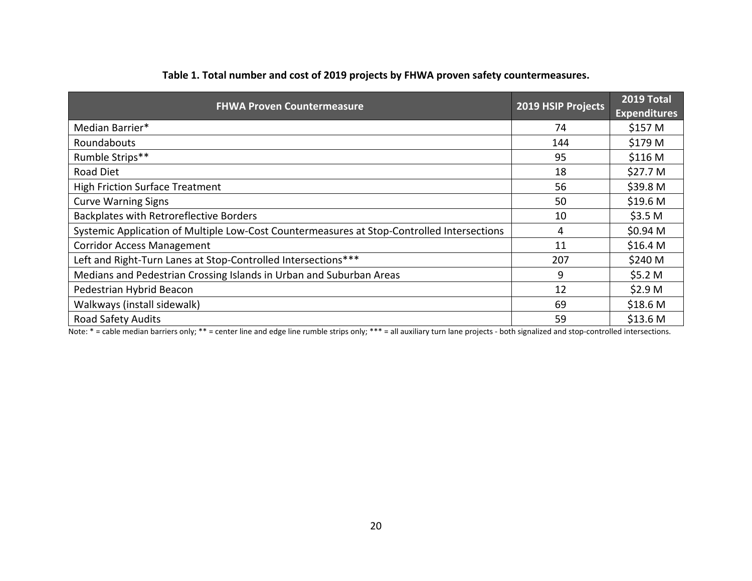| <b>FHWA Proven Countermeasure</b>                                                          | 2019 HSIP Projects | 2019 Total<br><b>Expenditures</b> |
|--------------------------------------------------------------------------------------------|--------------------|-----------------------------------|
| Median Barrier*                                                                            | 74                 | \$157 M                           |
| Roundabouts                                                                                | 144                | \$179 M                           |
| Rumble Strips**                                                                            | 95                 | \$116 M                           |
| Road Diet                                                                                  | 18                 | \$27.7 <sub>M</sub>               |
| <b>High Friction Surface Treatment</b>                                                     | 56                 | \$39.8 M                          |
| <b>Curve Warning Signs</b>                                                                 | 50                 | \$19.6 <sub>M</sub>               |
| Backplates with Retroreflective Borders                                                    | 10                 | \$3.5 <sub>M</sub>                |
| Systemic Application of Multiple Low-Cost Countermeasures at Stop-Controlled Intersections | 4                  | \$0.94 M                          |
| <b>Corridor Access Management</b>                                                          | 11                 | \$16.4 <sub>M</sub>               |
| Left and Right-Turn Lanes at Stop-Controlled Intersections***                              | 207                | \$240 M                           |
| Medians and Pedestrian Crossing Islands in Urban and Suburban Areas                        | 9                  | \$5.2 M                           |
| Pedestrian Hybrid Beacon                                                                   | 12                 | \$2.9 <sub>M</sub>                |
| Walkways (install sidewalk)                                                                | 69                 | \$18.6 <sub>M</sub>               |
| <b>Road Safety Audits</b>                                                                  | 59                 | \$13.6 M                          |

#### **Table 1. Total number and cost of 2019 projects by FHWA proven safety countermeasures.**

<span id="page-24-0"></span>Note: \* = cable median barriers only; \*\* = center line and edge line rumble strips only; \*\*\* = all auxiliary turn lane projects - both signalized and stop-controlled intersections.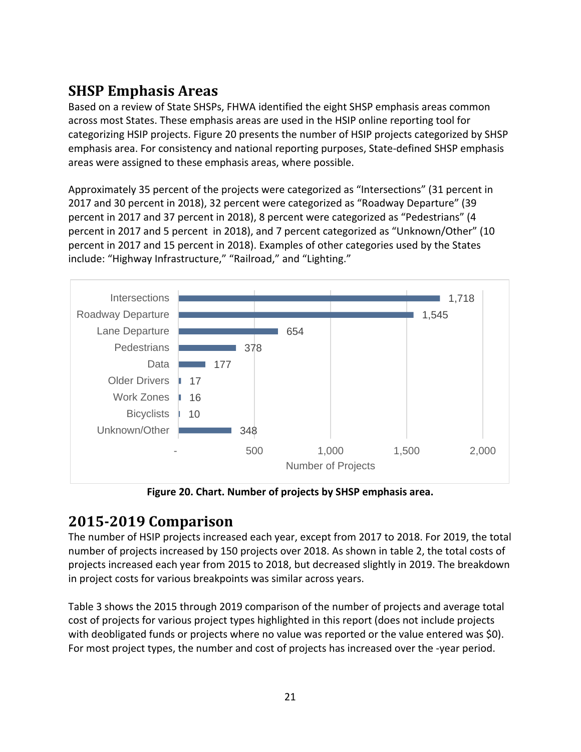# <span id="page-25-0"></span>**SHSP Emphasis Areas**

Based on a review of State SHSPs, FHWA identified the eight SHSP emphasis areas common across most States. These emphasis areas are used in the HSIP online reporting tool for categorizing HSIP projects. [Figure 20](#page-25-2) presents the number of HSIP projects categorized by SHSP emphasis area. For consistency and national reporting purposes, State-defined SHSP emphasis areas were assigned to these emphasis areas, where possible.

Approximately 35 percent of the projects were categorized as "Intersections" (31 percent in 2017 and 30 percent in 2018), 32 percent were categorized as "Roadway Departure" (39 percent in 2017 and 37 percent in 2018), 8 percent were categorized as "Pedestrians" (4 percent in 2017 and 5 percent in 2018), and 7 percent categorized as "Unknown/Other" (10 percent in 2017 and 15 percent in 2018). Examples of other categories used by the States include: "Highway Infrastructure," "Railroad," and "Lighting."



**Figure 20. Chart. Number of projects by SHSP emphasis area.** 

### <span id="page-25-2"></span><span id="page-25-1"></span>**2015-2019 Comparison**

The number of HSIP projects increased each year, except from 2017 to 2018. For 2019, the total number of projects increased by 150 projects over 2018. As shown in [table 2,](#page-26-0) the total costs of projects increased each year from 2015 to 2018, but decreased slightly in 2019. The breakdown in project costs for various breakpoints was similar across years.

[Table 3](#page-27-0) shows the 2015 through 2019 comparison of the number of projects and average total cost of projects for various project types highlighted in this report (does not include projects with deobligated funds or projects where no value was reported or the value entered was \$0). For most project types, the number and cost of projects has increased over the -year period.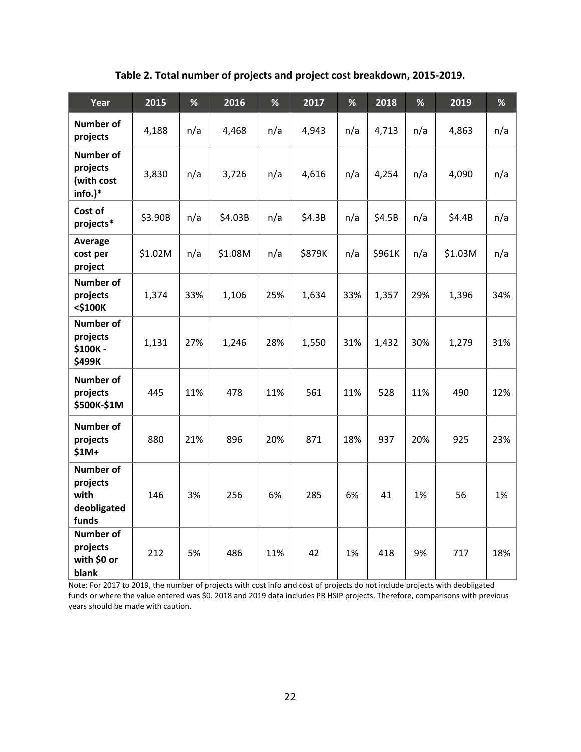<span id="page-26-0"></span>

| Year                                                         | 2015    | %   | 2016    | %   | 2017   | %   | 2018   | %   | 2019    | %   |
|--------------------------------------------------------------|---------|-----|---------|-----|--------|-----|--------|-----|---------|-----|
| <b>Number of</b><br>projects                                 | 4,188   | n/a | 4,468   | n/a | 4,943  | n/a | 4,713  | n/a | 4,863   | n/a |
| <b>Number of</b><br>projects<br>(with cost<br>info.)*        | 3,830   | n/a | 3,726   | n/a | 4,616  | n/a | 4,254  | n/a | 4,090   | n/a |
| Cost of<br>projects*                                         | \$3.90B | n/a | \$4.03B | n/a | \$4.3B | n/a | \$4.5B | n/a | \$4.4B  | n/a |
| Average<br>cost per<br>project                               | \$1.02M | n/a | \$1.08M | n/a | \$879K | n/a | \$961K | n/a | \$1.03M | n/a |
| <b>Number of</b><br>projects<br><\$100K                      | 1,374   | 33% | 1,106   | 25% | 1,634  | 33% | 1,357  | 29% | 1,396   | 34% |
| <b>Number of</b><br>projects<br>\$100K-<br>\$499K            | 1,131   | 27% | 1,246   | 28% | 1,550  | 31% | 1,432  | 30% | 1,279   | 31% |
| <b>Number of</b><br>projects<br>\$500K-\$1M                  | 445     | 11% | 478     | 11% | 561    | 11% | 528    | 11% | 490     | 12% |
| <b>Number of</b><br>projects<br>$$1M+$                       | 880     | 21% | 896     | 20% | 871    | 18% | 937    | 20% | 925     | 23% |
| <b>Number of</b><br>projects<br>with<br>deobligated<br>funds | 146     | 3%  | 256     | 6%  | 285    | 6%  | 41     | 1%  | 56      | 1%  |
| <b>Number of</b><br>projects<br>with \$0 or<br>blank         | 212     | 5%  | 486     | 11% | 42     | 1%  | 418    | 9%  | 717     | 18% |

**Table 2. Total number of projects and project cost breakdown, 2015-2019.** 

Note: For 2017 to 2019, the number of projects with cost info and cost of projects do not include projects with deobligated funds or where the value entered was \$0. 2018 and 2019 data includes PR HSIP projects. Therefore, comparisons with previous years should be made with caution.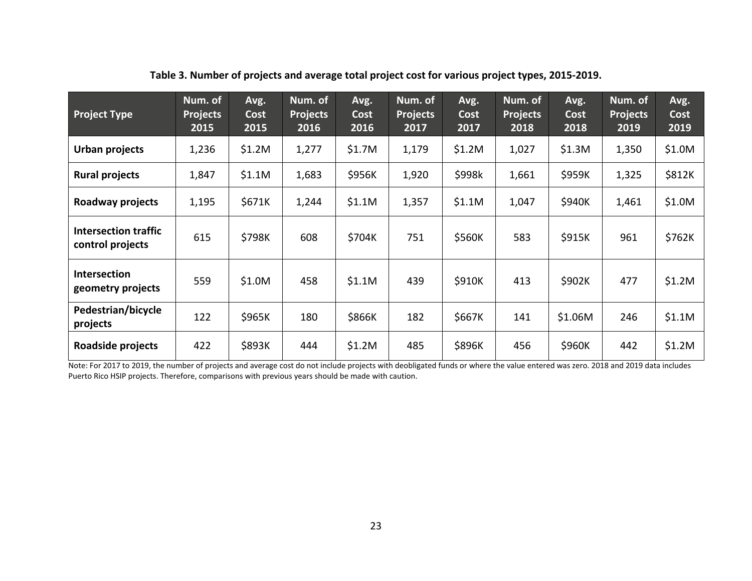| <b>Project Type</b>                             | Num. of<br><b>Projects</b><br>2015 | Avg.<br>Cost<br>2015 | Num. of<br><b>Projects</b><br>2016 | Avg.<br>Cost<br>2016 | Num. of<br><b>Projects</b><br>2017 | Avg.<br>Cost<br>2017 | Num. of<br><b>Projects</b><br>2018 | Avg.<br>Cost<br>2018 | Num. of<br><b>Projects</b><br>2019 | Avg.<br>Cost<br>2019 |
|-------------------------------------------------|------------------------------------|----------------------|------------------------------------|----------------------|------------------------------------|----------------------|------------------------------------|----------------------|------------------------------------|----------------------|
| Urban projects                                  | 1,236                              | \$1.2M               | 1,277                              | \$1.7M               | 1,179                              | \$1.2M               | 1,027                              | \$1.3M               | 1,350                              | \$1.0M               |
| <b>Rural projects</b>                           | 1,847                              | \$1.1M               | 1,683                              | \$956K               | 1,920                              | \$998k               | 1,661                              | \$959K               | 1,325                              | \$812K               |
| Roadway projects                                | 1,195                              | \$671K               | 1,244                              | \$1.1M               | 1,357                              | \$1.1M               | 1,047                              | \$940K               | 1,461                              | \$1.0M               |
| <b>Intersection traffic</b><br>control projects | 615                                | \$798K               | 608                                | \$704K               | 751                                | \$560K               | 583                                | \$915K               | 961                                | \$762K               |
| Intersection<br>geometry projects               | 559                                | \$1.0M               | 458                                | \$1.1M               | 439                                | \$910K               | 413                                | \$902K               | 477                                | \$1.2M               |
| Pedestrian/bicycle<br>projects                  | 122                                | \$965K               | 180                                | \$866K               | 182                                | \$667K               | 141                                | \$1.06M              | 246                                | \$1.1M               |
| Roadside projects                               | 422                                | \$893K               | 444                                | \$1.2M               | 485                                | \$896K               | 456                                | \$960K               | 442                                | \$1.2M               |

**Table 3. Number of projects and average total project cost for various project types, 2015-2019.** 

<span id="page-27-0"></span>Note: For 2017 to 2019, the number of projects and average cost do not include projects with deobligated funds or where the value entered was zero. 2018 and 2019 data includes Puerto Rico HSIP projects. Therefore, comparisons with previous years should be made with caution.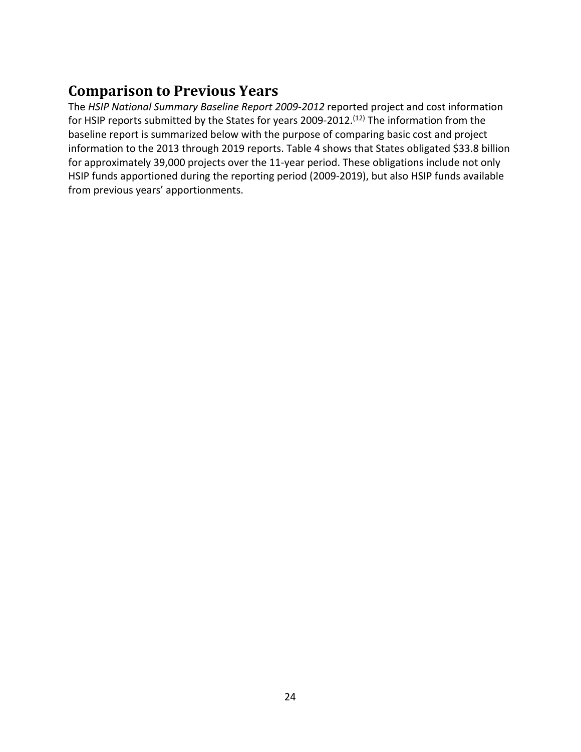### <span id="page-28-0"></span>**Comparison to Previous Years**

The *HSIP National Summary Baseline Report 2009-2012* reported project and cost information for HSIP reports submitted by the States for years 2009-2012.<sup>[\(12\)](#page-41-11)</sup> The information from the baseline report is summarized below with the purpose of comparing basic cost and project information to the 2013 through 2019 reports. [Table 4](#page-29-0) shows that States obligated \$33.8 billion for approximately 39,000 projects over the 11-year period. These obligations include not only HSIP funds apportioned during the reporting period (2009-2019), but also HSIP funds available from previous years' apportionments.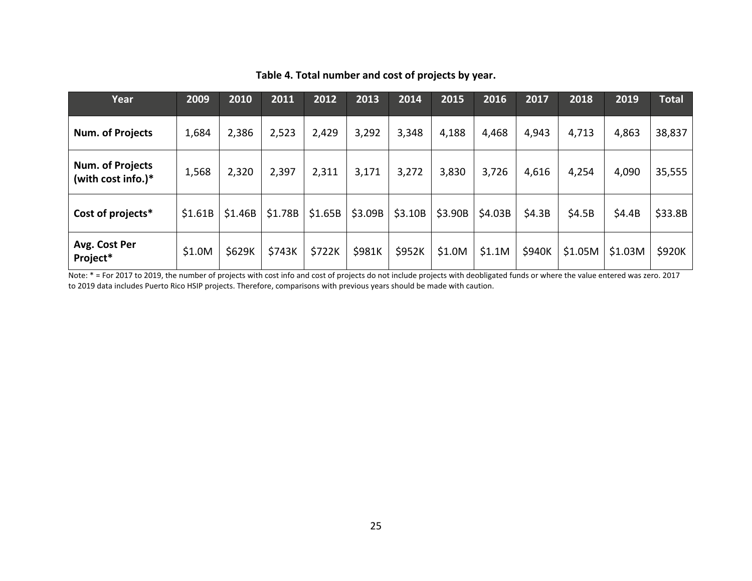| Year                                      | 2009    | 2010    | 2011    | 2012    | 2013    | 2014    | 2015    | 2016    | 2017   | 2018    | 2019    | <b>Total</b> |
|-------------------------------------------|---------|---------|---------|---------|---------|---------|---------|---------|--------|---------|---------|--------------|
| Num. of Projects                          | 1,684   | 2,386   | 2,523   | 2,429   | 3,292   | 3,348   | 4,188   | 4,468   | 4,943  | 4,713   | 4,863   | 38,837       |
| Num. of Projects<br>(with cost info.) $*$ | 1,568   | 2,320   | 2,397   | 2,311   | 3,171   | 3,272   | 3,830   | 3,726   | 4,616  | 4,254   | 4,090   | 35,555       |
| Cost of projects*                         | \$1.61B | \$1.46B | \$1.78B | \$1.65B | \$3.09B | \$3.10B | \$3.90B | \$4.03B | \$4.3B | \$4.5B  | \$4.4B  | \$33.8B      |
| Avg. Cost Per<br>Project*                 | \$1.0M  | \$629K  | \$743K  | \$722K  | \$981K  | \$952K  | \$1.0M  | \$1.1M  | \$940K | \$1.05M | \$1.03M | \$920K       |

#### **Table 4. Total number and cost of projects by year.**

<span id="page-29-0"></span>Note: \* = For 2017 to 2019, the number of projects with cost info and cost of projects do not include projects with deobligated funds or where the value entered was zero. 2017 to 2019 data includes Puerto Rico HSIP projects. Therefore, comparisons with previous years should be made with caution.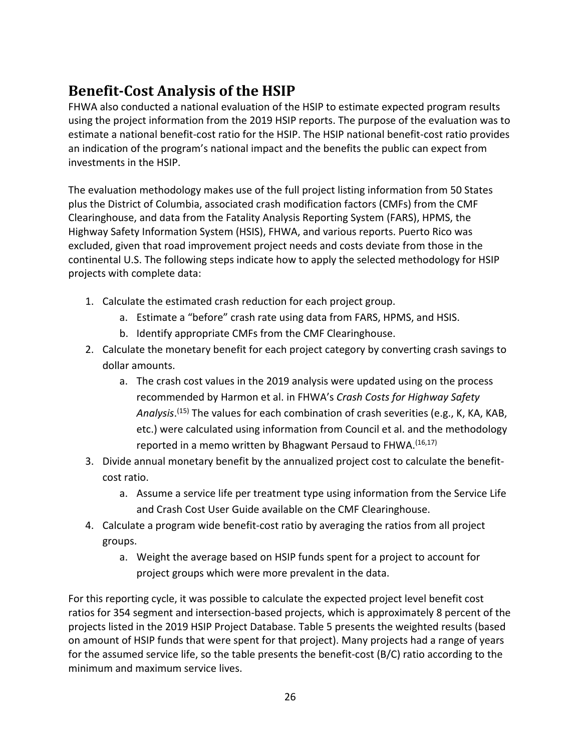# <span id="page-30-0"></span>**Benefit-Cost Analysis of the HSIP**

FHWA also conducted a national evaluation of the HSIP to estimate expected program results using the project information from the 2019 HSIP reports. The purpose of the evaluation was to estimate a national benefit-cost ratio for the HSIP. The HSIP national benefit-cost ratio provides an indication of the program's national impact and the benefits the public can expect from investments in the HSIP.

The evaluation methodology makes use of the full project listing information from 50 States plus the District of Columbia, associated crash modification factors (CMFs) from the CMF Clearinghouse, and data from the Fatality Analysis Reporting System (FARS), HPMS, the Highway Safety Information System (HSIS), FHWA, and various reports. Puerto Rico was excluded, given that road improvement project needs and costs deviate from those in the continental U.S. The following steps indicate how to apply the selected methodology for HSIP projects with complete data:

- 1. Calculate the estimated crash reduction for each project group.
	- a. Estimate a "before" crash rate using data from FARS, HPMS, and HSIS.
	- b. Identify appropriate CMFs from the CMF Clearinghouse.
- 2. Calculate the monetary benefit for each project category by converting crash savings to dollar amounts.
	- a. The crash cost values in the 2019 analysis were updated using on the process recommended by Harmon et al. in FHWA's *Crash Costs for Highway Safety Analysis*. [\(15\)](#page-41-14) The values for each combination of crash severities (e.g., K, KA, KAB, etc.) were calculated using information from Council et al. and the methodology reported in a memo written by Bhagwant Persaud to FHWA.[\(16,](#page-41-15)[17\)](#page-41-16)
- 3. Divide annual monetary benefit by the annualized project cost to calculate the benefitcost ratio.
	- a. Assume a service life per treatment type using information from the Service Life and Crash Cost User Guide available on the CMF Clearinghouse.
- 4. Calculate a program wide benefit-cost ratio by averaging the ratios from all project groups.
	- a. Weight the average based on HSIP funds spent for a project to account for project groups which were more prevalent in the data.

For this reporting cycle, it was possible to calculate the expected project level benefit cost ratios for 354 segment and intersection-based projects, which is approximately 8 percent of the projects listed in the 2019 HSIP Project Database. Table 5 presents the weighted results (based on amount of HSIP funds that were spent for that project). Many projects had a range of years for the assumed service life, so the table presents the benefit-cost (B/C) ratio according to the minimum and maximum service lives.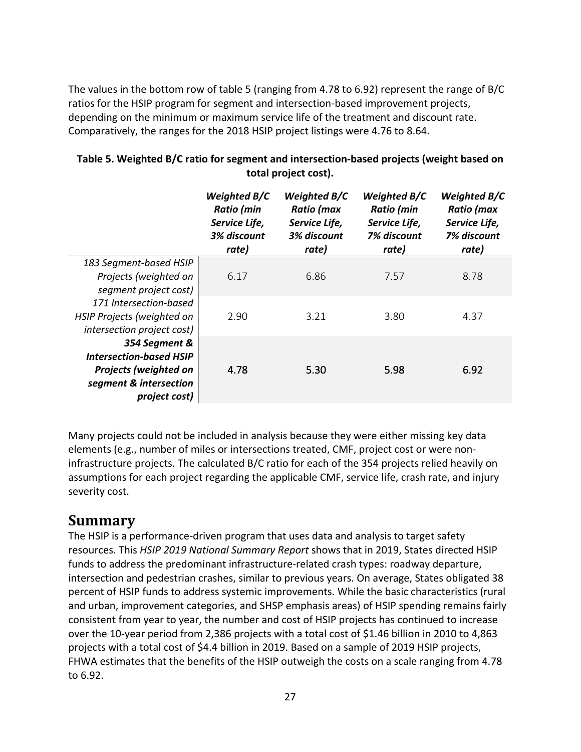The values in the bottom row of [table 5](#page-31-1) (ranging from 4.78 to 6.92) represent the range of B/C ratios for the HSIP program for segment and intersection-based improvement projects, depending on the minimum or maximum service life of the treatment and discount rate. Comparatively, the ranges for the 2018 HSIP project listings were 4.76 to 8.64.

<span id="page-31-1"></span>

| Table 5. Weighted B/C ratio for segment and intersection-based projects (weight based on |
|------------------------------------------------------------------------------------------|
| total project cost).                                                                     |

|                                         | Weighted B/C<br><b>Ratio</b> (min<br>Service Life,<br>3% discount<br>rate) | Weighted B/C<br>Ratio (max<br>Service Life,<br>3% discount<br>rate) | Weighted B/C<br><b>Ratio</b> (min<br>Service Life,<br>7% discount<br>rate) | Weighted B/C<br>Ratio (max<br>Service Life,<br>7% discount<br>rate) |
|-----------------------------------------|----------------------------------------------------------------------------|---------------------------------------------------------------------|----------------------------------------------------------------------------|---------------------------------------------------------------------|
| 183 Segment-based HSIP                  |                                                                            |                                                                     |                                                                            |                                                                     |
| Projects (weighted on                   | 6.17                                                                       | 6.86                                                                | 7.57                                                                       | 8.78                                                                |
| segment project cost)                   |                                                                            |                                                                     |                                                                            |                                                                     |
| 171 Intersection-based                  |                                                                            |                                                                     |                                                                            |                                                                     |
| HSIP Projects (weighted on              | 2.90                                                                       | 3.21                                                                | 3.80                                                                       | 4.37                                                                |
| intersection project cost)              |                                                                            |                                                                     |                                                                            |                                                                     |
| 354 Segment &                           |                                                                            |                                                                     |                                                                            |                                                                     |
| <b>Intersection-based HSIP</b>          |                                                                            |                                                                     |                                                                            |                                                                     |
| <b>Projects (weighted on</b>            | 4.78                                                                       | 5.30                                                                | 5.98                                                                       | 6.92                                                                |
| segment & intersection<br>project cost) |                                                                            |                                                                     |                                                                            |                                                                     |
|                                         |                                                                            |                                                                     |                                                                            |                                                                     |

Many projects could not be included in analysis because they were either missing key data elements (e.g., number of miles or intersections treated, CMF, project cost or were noninfrastructure projects. The calculated B/C ratio for each of the 354 projects relied heavily on assumptions for each project regarding the applicable CMF, service life, crash rate, and injury severity cost.

### <span id="page-31-0"></span>**Summary**

The HSIP is a performance-driven program that uses data and analysis to target safety resources. This *HSIP 2019 National Summary Report* shows that in 2019, States directed HSIP funds to address the predominant infrastructure-related crash types: roadway departure, intersection and pedestrian crashes, similar to previous years. On average, States obligated 38 percent of HSIP funds to address systemic improvements. While the basic characteristics (rural and urban, improvement categories, and SHSP emphasis areas) of HSIP spending remains fairly consistent from year to year, the number and cost of HSIP projects has continued to increase over the 10-year period from 2,386 projects with a total cost of \$1.46 billion in 2010 to 4,863 projects with a total cost of \$4.4 billion in 2019. Based on a sample of 2019 HSIP projects, FHWA estimates that the benefits of the HSIP outweigh the costs on a scale ranging from 4.78 to 6.92.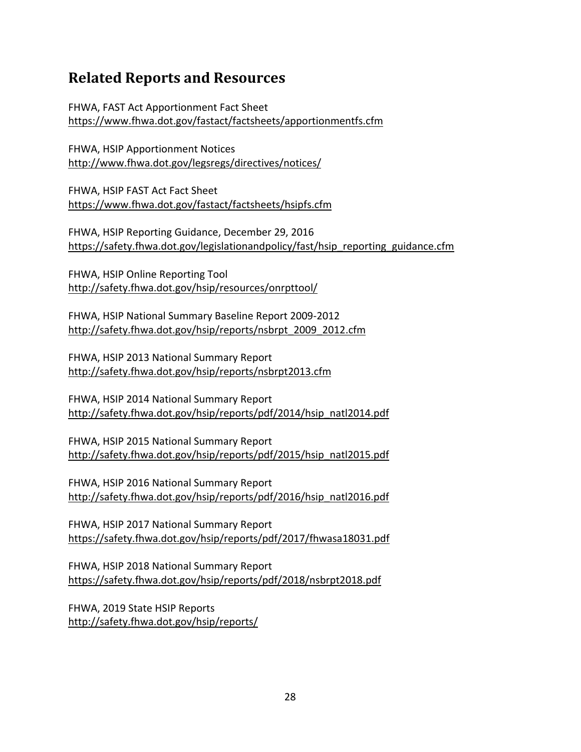### <span id="page-32-0"></span>**Related Reports and Resources**

FHWA, FAST Act Apportionment Fact Sheet <https://www.fhwa.dot.gov/fastact/factsheets/apportionmentfs.cfm>

FHWA, HSIP Apportionment Notices <http://www.fhwa.dot.gov/legsregs/directives/notices/>

FHWA, HSIP FAST Act Fact Sheet <https://www.fhwa.dot.gov/fastact/factsheets/hsipfs.cfm>

FHWA, HSIP Reporting Guidance, December 29, 2016 [https://safety.fhwa.dot.gov/legislationandpolicy/fast/hsip\\_reporting\\_guidance.cfm](https://safety.fhwa.dot.gov/legislationandpolicy/fast/hsip_reporting_guidance.cfm) 

FHWA, HSIP Online Reporting Tool <http://safety.fhwa.dot.gov/hsip/resources/onrpttool/>

FHWA, HSIP National Summary Baseline Report 2009-2012 [http://safety.fhwa.dot.gov/hsip/reports/nsbrpt\\_2009\\_2012.cfm](http://safety.fhwa.dot.gov/hsip/reports/nsbrpt_2009_2012.cfm) 

FHWA, HSIP 2013 National Summary Report <http://safety.fhwa.dot.gov/hsip/reports/nsbrpt2013.cfm>

FHWA, HSIP 2014 National Summary Report [http://safety.fhwa.dot.gov/hsip/reports/pdf/2014/hsip\\_natl2014.pdf](http://safety.fhwa.dot.gov/hsip/reports/pdf/2014/hsip_natl2014.pdf)

FHWA, HSIP 2015 National Summary Report [http://safety.fhwa.dot.gov/hsip/reports/pdf/2015/hsip\\_natl2015.pdf](http://safety.fhwa.dot.gov/hsip/reports/pdf/2015/hsip_natl2015.pdf)

FHWA, HSIP 2016 National Summary Report [http://safety.fhwa.dot.gov/hsip/reports/pdf/2016/hsip\\_natl2016.pdf](http://safety.fhwa.dot.gov/hsip/reports/pdf/2016/hsip_natl2016.pdf)

FHWA, HSIP 2017 National Summary Report <https://safety.fhwa.dot.gov/hsip/reports/pdf/2017/fhwasa18031.pdf>

FHWA, HSIP 2018 National Summary Report <https://safety.fhwa.dot.gov/hsip/reports/pdf/2018/nsbrpt2018.pdf>

FHWA, 2019 State HSIP Reports <http://safety.fhwa.dot.gov/hsip/reports/>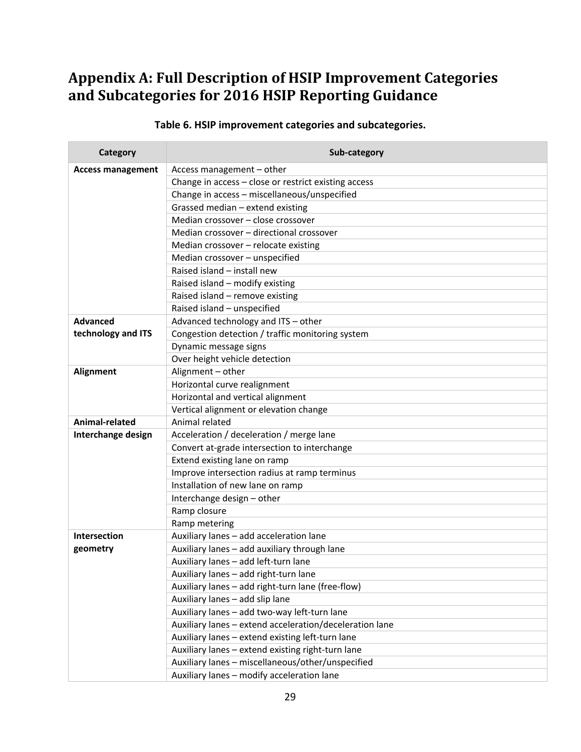# <span id="page-33-0"></span>**Appendix A: Full Description of HSIP Improvement Categories and Subcategories for 2016 HSIP Reporting Guidance**

#### **Table 6. HSIP improvement categories and subcategories.**

<span id="page-33-1"></span>

| Category                 | Sub-category                                            |
|--------------------------|---------------------------------------------------------|
| <b>Access management</b> | Access management - other                               |
|                          | Change in access - close or restrict existing access    |
|                          | Change in access - miscellaneous/unspecified            |
|                          | Grassed median - extend existing                        |
|                          | Median crossover - close crossover                      |
|                          | Median crossover - directional crossover                |
|                          | Median crossover - relocate existing                    |
|                          | Median crossover - unspecified                          |
|                          | Raised island - install new                             |
|                          | Raised island - modify existing                         |
|                          | Raised island - remove existing                         |
|                          | Raised island - unspecified                             |
| <b>Advanced</b>          | Advanced technology and ITS - other                     |
| technology and ITS       | Congestion detection / traffic monitoring system        |
|                          | Dynamic message signs                                   |
|                          | Over height vehicle detection                           |
| <b>Alignment</b>         | Alignment - other                                       |
|                          | Horizontal curve realignment                            |
|                          | Horizontal and vertical alignment                       |
|                          | Vertical alignment or elevation change                  |
| Animal-related           | Animal related                                          |
| Interchange design       | Acceleration / deceleration / merge lane                |
|                          | Convert at-grade intersection to interchange            |
|                          | Extend existing lane on ramp                            |
|                          | Improve intersection radius at ramp terminus            |
|                          | Installation of new lane on ramp                        |
|                          | Interchange design - other                              |
|                          | Ramp closure                                            |
|                          | Ramp metering                                           |
| <b>Intersection</b>      | Auxiliary lanes - add acceleration lane                 |
| geometry                 | Auxiliary lanes - add auxiliary through lane            |
|                          | Auxiliary lanes - add left-turn lane                    |
|                          | Auxiliary lanes - add right-turn lane                   |
|                          | Auxiliary lanes - add right-turn lane (free-flow)       |
|                          | Auxiliary lanes - add slip lane                         |
|                          | Auxiliary lanes - add two-way left-turn lane            |
|                          | Auxiliary lanes - extend acceleration/deceleration lane |
|                          | Auxiliary lanes - extend existing left-turn lane        |
|                          | Auxiliary lanes - extend existing right-turn lane       |
|                          | Auxiliary lanes - miscellaneous/other/unspecified       |
|                          | Auxiliary lanes - modify acceleration lane              |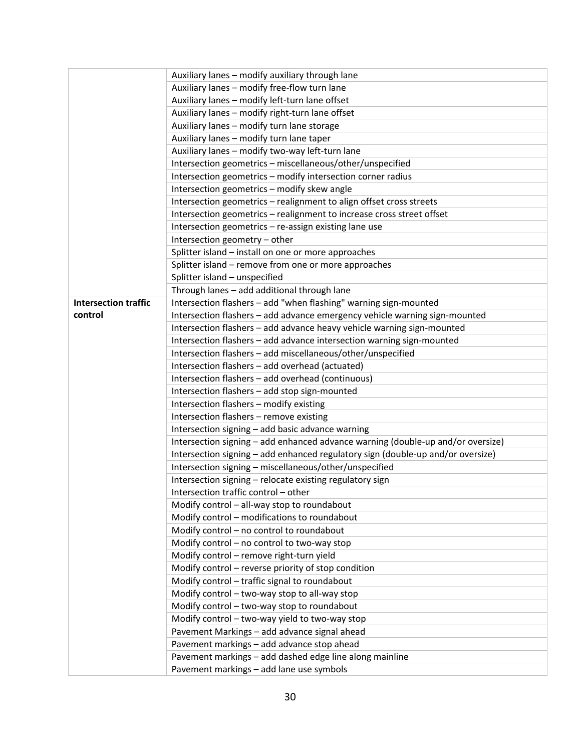|                             | Auxiliary lanes - modify auxiliary through lane                                 |
|-----------------------------|---------------------------------------------------------------------------------|
|                             | Auxiliary lanes - modify free-flow turn lane                                    |
|                             | Auxiliary lanes - modify left-turn lane offset                                  |
|                             | Auxiliary lanes - modify right-turn lane offset                                 |
|                             | Auxiliary lanes - modify turn lane storage                                      |
|                             | Auxiliary lanes - modify turn lane taper                                        |
|                             | Auxiliary lanes - modify two-way left-turn lane                                 |
|                             | Intersection geometrics - miscellaneous/other/unspecified                       |
|                             | Intersection geometrics - modify intersection corner radius                     |
|                             | Intersection geometrics - modify skew angle                                     |
|                             | Intersection geometrics - realignment to align offset cross streets             |
|                             | Intersection geometrics - realignment to increase cross street offset           |
|                             | Intersection geometrics - re-assign existing lane use                           |
|                             | Intersection geometry - other                                                   |
|                             | Splitter island - install on one or more approaches                             |
|                             | Splitter island - remove from one or more approaches                            |
|                             | Splitter island - unspecified                                                   |
|                             | Through lanes - add additional through lane                                     |
| <b>Intersection traffic</b> | Intersection flashers - add "when flashing" warning sign-mounted                |
| control                     | Intersection flashers - add advance emergency vehicle warning sign-mounted      |
|                             | Intersection flashers - add advance heavy vehicle warning sign-mounted          |
|                             | Intersection flashers - add advance intersection warning sign-mounted           |
|                             | Intersection flashers - add miscellaneous/other/unspecified                     |
|                             | Intersection flashers - add overhead (actuated)                                 |
|                             | Intersection flashers - add overhead (continuous)                               |
|                             | Intersection flashers - add stop sign-mounted                                   |
|                             | Intersection flashers - modify existing                                         |
|                             | Intersection flashers - remove existing                                         |
|                             | Intersection signing - add basic advance warning                                |
|                             | Intersection signing - add enhanced advance warning (double-up and/or oversize) |
|                             | Intersection signing - add enhanced regulatory sign (double-up and/or oversize) |
|                             | Intersection signing - miscellaneous/other/unspecified                          |
|                             | Intersection signing - relocate existing regulatory sign                        |
|                             | Intersection traffic control - other                                            |
|                             | Modify control - all-way stop to roundabout                                     |
|                             | Modify control - modifications to roundabout                                    |
|                             | Modify control - no control to roundabout                                       |
|                             | Modify control - no control to two-way stop                                     |
|                             | Modify control - remove right-turn yield                                        |
|                             | Modify control - reverse priority of stop condition                             |
|                             | Modify control - traffic signal to roundabout                                   |
|                             | Modify control - two-way stop to all-way stop                                   |
|                             | Modify control - two-way stop to roundabout                                     |
|                             | Modify control - two-way yield to two-way stop                                  |
|                             | Pavement Markings - add advance signal ahead                                    |
|                             | Pavement markings - add advance stop ahead                                      |
|                             | Pavement markings - add dashed edge line along mainline                         |
|                             | Pavement markings - add lane use symbols                                        |
|                             |                                                                                 |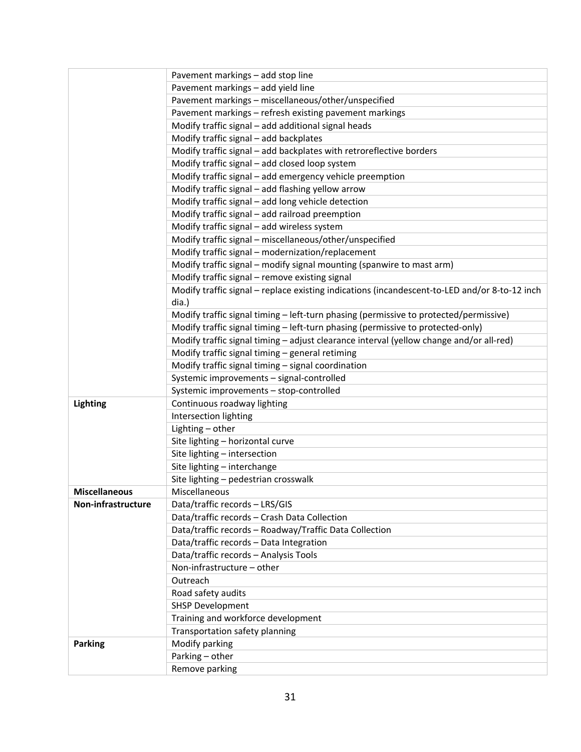|                      | Pavement markings - add stop line                                                             |
|----------------------|-----------------------------------------------------------------------------------------------|
|                      | Pavement markings - add yield line                                                            |
|                      | Pavement markings - miscellaneous/other/unspecified                                           |
|                      | Pavement markings - refresh existing pavement markings                                        |
|                      | Modify traffic signal - add additional signal heads                                           |
|                      | Modify traffic signal - add backplates                                                        |
|                      | Modify traffic signal - add backplates with retroreflective borders                           |
|                      | Modify traffic signal - add closed loop system                                                |
|                      | Modify traffic signal - add emergency vehicle preemption                                      |
|                      | Modify traffic signal - add flashing yellow arrow                                             |
|                      | Modify traffic signal - add long vehicle detection                                            |
|                      | Modify traffic signal - add railroad preemption                                               |
|                      | Modify traffic signal - add wireless system                                                   |
|                      | Modify traffic signal - miscellaneous/other/unspecified                                       |
|                      | Modify traffic signal - modernization/replacement                                             |
|                      | Modify traffic signal - modify signal mounting (spanwire to mast arm)                         |
|                      | Modify traffic signal - remove existing signal                                                |
|                      | Modify traffic signal - replace existing indications (incandescent-to-LED and/or 8-to-12 inch |
|                      | dia.)                                                                                         |
|                      | Modify traffic signal timing - left-turn phasing (permissive to protected/permissive)         |
|                      | Modify traffic signal timing - left-turn phasing (permissive to protected-only)               |
|                      | Modify traffic signal timing - adjust clearance interval (yellow change and/or all-red)       |
|                      | Modify traffic signal timing - general retiming                                               |
|                      | Modify traffic signal timing - signal coordination                                            |
|                      | Systemic improvements - signal-controlled                                                     |
|                      |                                                                                               |
|                      | Systemic improvements - stop-controlled                                                       |
| <b>Lighting</b>      | Continuous roadway lighting                                                                   |
|                      | Intersection lighting                                                                         |
|                      | Lighting - other                                                                              |
|                      | Site lighting - horizontal curve                                                              |
|                      | Site lighting - intersection                                                                  |
|                      | Site lighting - interchange                                                                   |
|                      | Site lighting - pedestrian crosswalk                                                          |
| <b>Miscellaneous</b> | Miscellaneous                                                                                 |
| Non-infrastructure   | Data/traffic records - LRS/GIS                                                                |
|                      | Data/traffic records - Crash Data Collection                                                  |
|                      | Data/traffic records - Roadway/Traffic Data Collection                                        |
|                      | Data/traffic records - Data Integration                                                       |
|                      | Data/traffic records - Analysis Tools                                                         |
|                      | Non-infrastructure - other                                                                    |
|                      | Outreach                                                                                      |
|                      | Road safety audits                                                                            |
|                      | <b>SHSP Development</b>                                                                       |
|                      | Training and workforce development                                                            |
|                      | Transportation safety planning                                                                |
| <b>Parking</b>       | Modify parking                                                                                |
|                      | Parking - other                                                                               |
|                      | Remove parking                                                                                |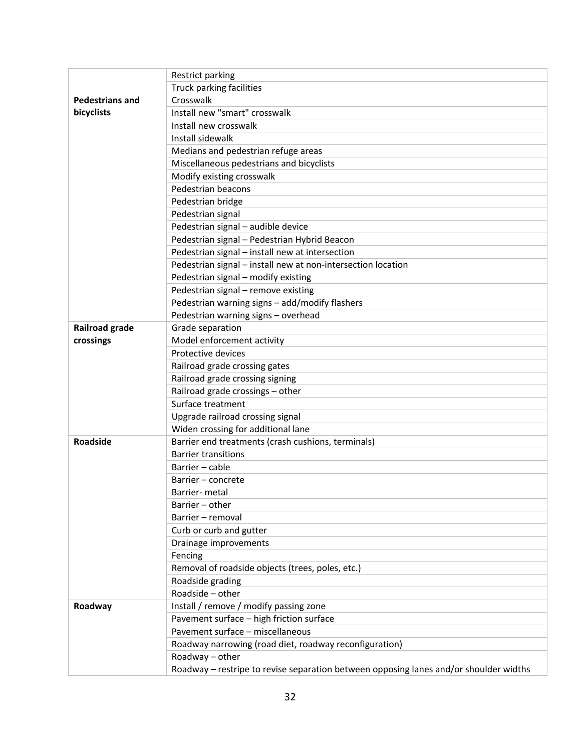|                        | Restrict parking                                                                      |  |  |  |
|------------------------|---------------------------------------------------------------------------------------|--|--|--|
|                        | Truck parking facilities                                                              |  |  |  |
| <b>Pedestrians and</b> | Crosswalk                                                                             |  |  |  |
| bicyclists             | Install new "smart" crosswalk                                                         |  |  |  |
|                        | Install new crosswalk                                                                 |  |  |  |
|                        | Install sidewalk                                                                      |  |  |  |
|                        | Medians and pedestrian refuge areas                                                   |  |  |  |
|                        | Miscellaneous pedestrians and bicyclists                                              |  |  |  |
|                        | Modify existing crosswalk                                                             |  |  |  |
|                        | Pedestrian beacons                                                                    |  |  |  |
|                        | Pedestrian bridge                                                                     |  |  |  |
|                        | Pedestrian signal                                                                     |  |  |  |
|                        | Pedestrian signal - audible device                                                    |  |  |  |
|                        | Pedestrian signal - Pedestrian Hybrid Beacon                                          |  |  |  |
|                        | Pedestrian signal - install new at intersection                                       |  |  |  |
|                        | Pedestrian signal - install new at non-intersection location                          |  |  |  |
|                        | Pedestrian signal - modify existing                                                   |  |  |  |
|                        | Pedestrian signal - remove existing                                                   |  |  |  |
|                        | Pedestrian warning signs - add/modify flashers                                        |  |  |  |
|                        | Pedestrian warning signs - overhead                                                   |  |  |  |
| Railroad grade         | Grade separation                                                                      |  |  |  |
| crossings              | Model enforcement activity                                                            |  |  |  |
|                        | Protective devices                                                                    |  |  |  |
|                        | Railroad grade crossing gates                                                         |  |  |  |
|                        | Railroad grade crossing signing                                                       |  |  |  |
|                        | Railroad grade crossings - other                                                      |  |  |  |
|                        | Surface treatment                                                                     |  |  |  |
|                        | Upgrade railroad crossing signal                                                      |  |  |  |
|                        | Widen crossing for additional lane                                                    |  |  |  |
| Roadside               | Barrier end treatments (crash cushions, terminals)                                    |  |  |  |
|                        | <b>Barrier transitions</b>                                                            |  |  |  |
|                        | Barrier - cable                                                                       |  |  |  |
|                        | Barrier - concrete                                                                    |  |  |  |
|                        | Barrier- metal                                                                        |  |  |  |
|                        | Barrier - other                                                                       |  |  |  |
|                        | Barrier - removal                                                                     |  |  |  |
|                        | Curb or curb and gutter                                                               |  |  |  |
|                        | Drainage improvements                                                                 |  |  |  |
|                        | Fencing                                                                               |  |  |  |
|                        | Removal of roadside objects (trees, poles, etc.)                                      |  |  |  |
|                        | Roadside grading                                                                      |  |  |  |
|                        | Roadside - other                                                                      |  |  |  |
| Roadway                | Install / remove / modify passing zone                                                |  |  |  |
|                        | Pavement surface - high friction surface                                              |  |  |  |
|                        | Pavement surface - miscellaneous                                                      |  |  |  |
|                        | Roadway narrowing (road diet, roadway reconfiguration)                                |  |  |  |
|                        | Roadway - other                                                                       |  |  |  |
|                        | Roadway - restripe to revise separation between opposing lanes and/or shoulder widths |  |  |  |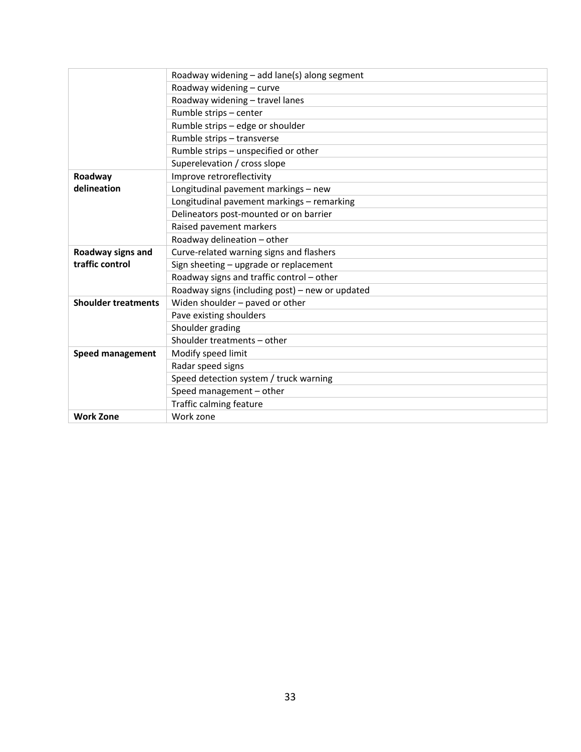|                            | Roadway widening - add lane(s) along segment    |
|----------------------------|-------------------------------------------------|
|                            | Roadway widening - curve                        |
|                            | Roadway widening - travel lanes                 |
|                            | Rumble strips - center                          |
|                            | Rumble strips - edge or shoulder                |
|                            | Rumble strips - transverse                      |
|                            | Rumble strips - unspecified or other            |
|                            | Superelevation / cross slope                    |
| Roadway                    | Improve retroreflectivity                       |
| delineation                | Longitudinal pavement markings - new            |
|                            | Longitudinal pavement markings - remarking      |
|                            | Delineators post-mounted or on barrier          |
|                            | Raised pavement markers                         |
|                            | Roadway delineation - other                     |
| Roadway signs and          | Curve-related warning signs and flashers        |
| traffic control            | Sign sheeting - upgrade or replacement          |
|                            | Roadway signs and traffic control - other       |
|                            | Roadway signs (including post) - new or updated |
| <b>Shoulder treatments</b> | Widen shoulder - paved or other                 |
|                            | Pave existing shoulders                         |
|                            | Shoulder grading                                |
|                            | Shoulder treatments - other                     |
| <b>Speed management</b>    | Modify speed limit                              |
|                            | Radar speed signs                               |
|                            | Speed detection system / truck warning          |
|                            | Speed management - other                        |
|                            | Traffic calming feature                         |
| <b>Work Zone</b>           | Work zone                                       |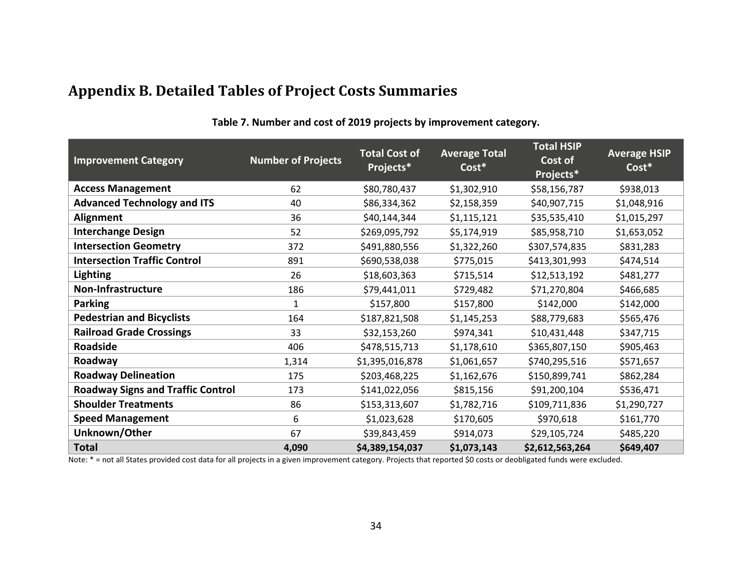# **Appendix B. Detailed Tables of Project Costs Summaries**

<span id="page-38-1"></span><span id="page-38-0"></span>

| <b>Improvement Category</b>              | <b>Number of Projects</b> | <b>Total Cost of</b><br>Projects* | <b>Average Total</b><br>$\overline{\text{Cost}}^*$ | <b>Total HSIP</b><br>Cost of<br>Projects* | <b>Average HSIP</b><br>Cost* |
|------------------------------------------|---------------------------|-----------------------------------|----------------------------------------------------|-------------------------------------------|------------------------------|
| <b>Access Management</b>                 | 62                        | \$80,780,437                      | \$1,302,910                                        | \$58,156,787                              | \$938,013                    |
| <b>Advanced Technology and ITS</b>       | 40                        | \$86,334,362                      | \$2,158,359                                        | \$40,907,715                              | \$1,048,916                  |
| Alignment                                | 36                        | \$40,144,344                      | \$1,115,121                                        | \$35,535,410                              | \$1,015,297                  |
| <b>Interchange Design</b>                | 52                        | \$269,095,792                     | \$5,174,919                                        | \$85,958,710                              | \$1,653,052                  |
| <b>Intersection Geometry</b>             | 372                       | \$491,880,556                     | \$1,322,260                                        | \$307,574,835                             | \$831,283                    |
| <b>Intersection Traffic Control</b>      | 891                       | \$690,538,038                     | \$775,015                                          | \$413,301,993                             | \$474,514                    |
| <b>Lighting</b>                          | 26                        | \$18,603,363                      | \$715,514                                          | \$12,513,192                              | \$481,277                    |
| Non-Infrastructure                       | 186                       | \$79,441,011                      | \$729,482                                          | \$71,270,804                              | \$466,685                    |
| <b>Parking</b>                           | $\mathbf{1}$              | \$157,800                         | \$157,800                                          | \$142,000                                 | \$142,000                    |
| <b>Pedestrian and Bicyclists</b>         | 164                       | \$187,821,508                     | \$1,145,253                                        | \$88,779,683                              | \$565,476                    |
| <b>Railroad Grade Crossings</b>          | 33                        | \$32,153,260                      | \$974,341                                          | \$10,431,448                              | \$347,715                    |
| Roadside                                 | 406                       | \$478,515,713                     | \$1,178,610                                        | \$365,807,150                             | \$905,463                    |
| Roadway                                  | 1,314                     | \$1,395,016,878                   | \$1,061,657                                        | \$740,295,516                             | \$571,657                    |
| <b>Roadway Delineation</b>               | 175                       | \$203,468,225                     | \$1,162,676                                        | \$150,899,741                             | \$862,284                    |
| <b>Roadway Signs and Traffic Control</b> | 173                       | \$141,022,056                     | \$815,156                                          | \$91,200,104                              | \$536,471                    |
| <b>Shoulder Treatments</b>               | 86                        | \$153,313,607                     | \$1,782,716                                        | \$109,711,836                             | \$1,290,727                  |
| <b>Speed Management</b>                  | 6                         | \$1,023,628                       | \$170,605                                          | \$970,618                                 | \$161,770                    |
| Unknown/Other                            | 67                        | \$39,843,459                      | \$914,073                                          | \$29,105,724                              | \$485,220                    |
| <b>Total</b>                             | 4,090                     | \$4,389,154,037                   | \$1,073,143                                        | \$2,612,563,264                           | \$649,407                    |

**Table 7. Number and cost of 2019 projects by improvement category.** 

Note: \* = not all States provided cost data for all projects in a given improvement category. Projects that reported \$0 costs or deobligated funds were excluded.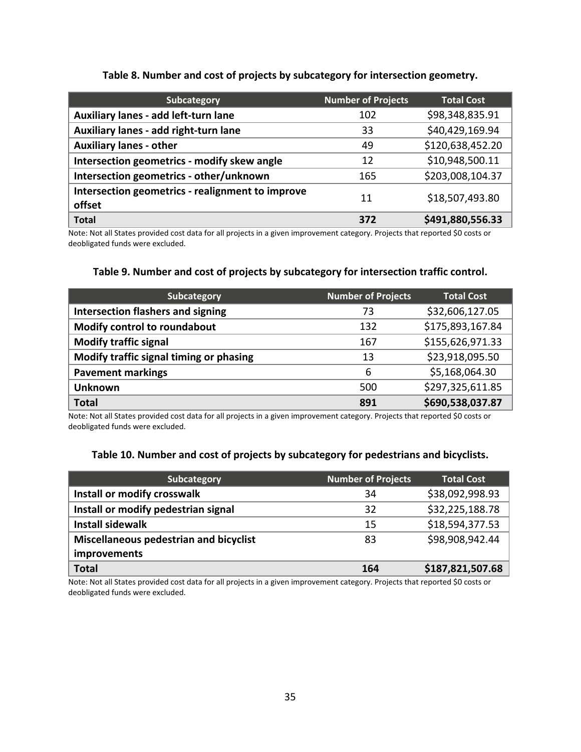#### **Table 8. Number and cost of projects by subcategory for intersection geometry.**

<span id="page-39-0"></span>

| Subcategory                                                | <b>Number of Projects</b> | <b>Total Cost</b> |
|------------------------------------------------------------|---------------------------|-------------------|
| Auxiliary lanes - add left-turn lane                       | 102                       | \$98,348,835.91   |
| Auxiliary lanes - add right-turn lane                      | 33                        | \$40,429,169.94   |
| <b>Auxiliary lanes - other</b>                             | 49                        | \$120,638,452.20  |
| Intersection geometrics - modify skew angle                | 12                        | \$10,948,500.11   |
| Intersection geometrics - other/unknown                    | 165                       | \$203,008,104.37  |
| Intersection geometrics - realignment to improve<br>offset | 11                        | \$18,507,493.80   |
| <b>Total</b>                                               | 372                       | \$491,880,556.33  |

Note: Not all States provided cost data for all projects in a given improvement category. Projects that reported \$0 costs or deobligated funds were excluded.

#### **Table 9. Number and cost of projects by subcategory for intersection traffic control.**

<span id="page-39-1"></span>

| Subcategory                              | <b>Number of Projects</b> | <b>Total Cost</b> |
|------------------------------------------|---------------------------|-------------------|
| <b>Intersection flashers and signing</b> | 73                        | \$32,606,127.05   |
| Modify control to roundabout             | 132                       | \$175,893,167.84  |
| <b>Modify traffic signal</b>             | 167                       | \$155,626,971.33  |
| Modify traffic signal timing or phasing  | 13                        | \$23,918,095.50   |
| <b>Pavement markings</b>                 | 6                         | \$5,168,064.30    |
| <b>Unknown</b>                           | 500                       | \$297,325,611.85  |
| <b>Total</b>                             | 891                       | \$690,538,037.87  |

Note: Not all States provided cost data for all projects in a given improvement category. Projects that reported \$0 costs or deobligated funds were excluded.

#### **Table 10. Number and cost of projects by subcategory for pedestrians and bicyclists.**

<span id="page-39-2"></span>

| Subcategory                            | <b>Number of Projects</b> | Total Cost       |
|----------------------------------------|---------------------------|------------------|
| Install or modify crosswalk            | 34                        | \$38,092,998.93  |
| Install or modify pedestrian signal    | 32                        | \$32,225,188.78  |
| <b>Install sidewalk</b>                | 15                        | \$18,594,377.53  |
| Miscellaneous pedestrian and bicyclist | 83                        | \$98,908,942.44  |
| improvements                           |                           |                  |
| <b>Total</b>                           | 164                       | \$187,821,507.68 |

Note: Not all States provided cost data for all projects in a given improvement category. Projects that reported \$0 costs or deobligated funds were excluded.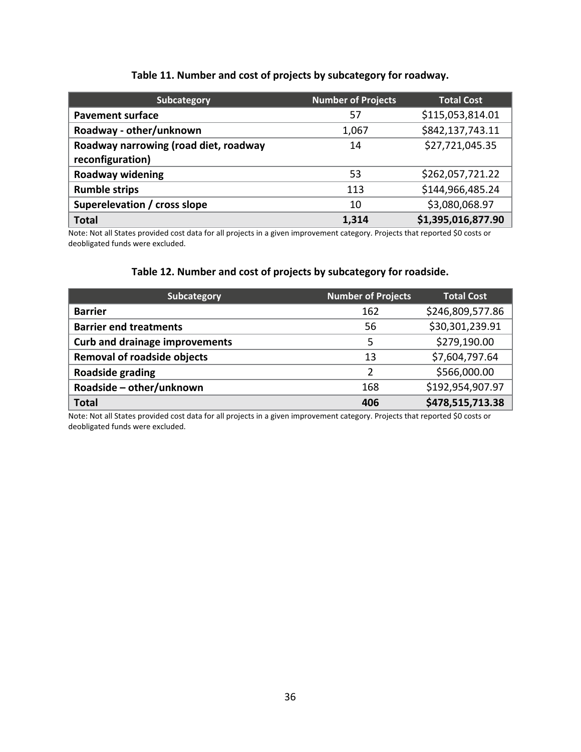#### **Table 11. Number and cost of projects by subcategory for roadway.**

<span id="page-40-0"></span>

| Subcategory                                               | <b>Number of Projects</b> | <b>Total Cost</b>  |
|-----------------------------------------------------------|---------------------------|--------------------|
| <b>Pavement surface</b>                                   | 57                        | \$115,053,814.01   |
| Roadway - other/unknown                                   | 1,067                     | \$842,137,743.11   |
| Roadway narrowing (road diet, roadway<br>reconfiguration) | 14                        | \$27,721,045.35    |
| Roadway widening                                          | 53                        | \$262,057,721.22   |
| <b>Rumble strips</b>                                      | 113                       | \$144,966,485.24   |
| Superelevation / cross slope                              | 10                        | \$3,080,068.97     |
| <b>Total</b>                                              | 1,314                     | \$1,395,016,877.90 |

Note: Not all States provided cost data for all projects in a given improvement category. Projects that reported \$0 costs or deobligated funds were excluded.

#### **Table 12. Number and cost of projects by subcategory for roadside.**

<span id="page-40-1"></span>

| Subcategory                           | <b>Number of Projects</b> | <b>Total Cost</b> |
|---------------------------------------|---------------------------|-------------------|
| <b>Barrier</b>                        | 162                       | \$246,809,577.86  |
| <b>Barrier end treatments</b>         | 56                        | \$30,301,239.91   |
| <b>Curb and drainage improvements</b> | 5                         | \$279,190.00      |
| <b>Removal of roadside objects</b>    | 13                        | \$7,604,797.64    |
| Roadside grading                      | $\mathcal{D}$             | \$566,000.00      |
| Roadside - other/unknown              | 168                       | \$192,954,907.97  |
| <b>Total</b>                          | 406                       | \$478,515,713.38  |

Note: Not all States provided cost data for all projects in a given improvement category. Projects that reported \$0 costs or deobligated funds were excluded.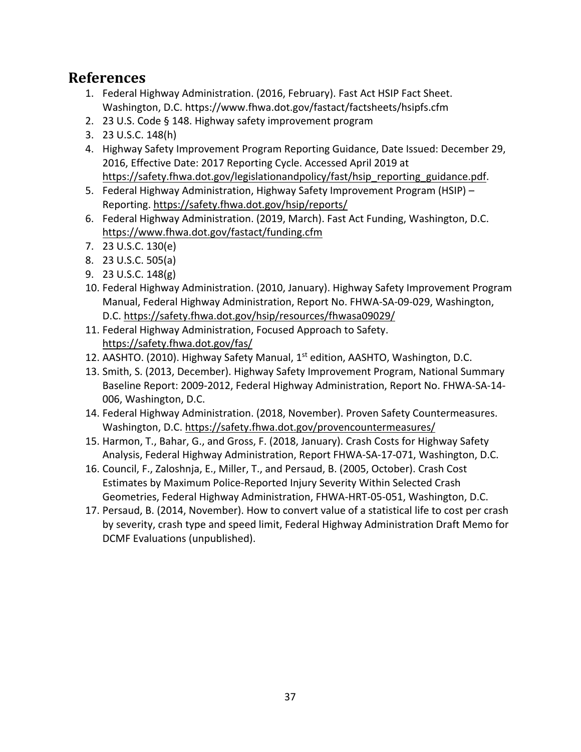### <span id="page-41-1"></span><span id="page-41-0"></span>**References**

- 1. Federal Highway Administration. (2016, February). Fast Act HSIP Fact Sheet. Washington, D.C. https://www.fhwa.dot.gov/fastact/factsheets/hsipfs.cfm
- <span id="page-41-2"></span>2. 23 U.S. Code § 148. Highway safety improvement program
- <span id="page-41-3"></span>3. 23 U.S.C. 148(h)
- <span id="page-41-4"></span>4. Highway Safety Improvement Program Reporting Guidance, Date Issued: December 29, 2016, Effective Date: 2017 Reporting Cycle. Accessed April 2019 at [https://safety.fhwa.dot.gov/legislationandpolicy/fast/hsip\\_reporting\\_guidance.pdf.](https://safety.fhwa.dot.gov/legislationandpolicy/fast/hsip_reporting_guidance.pdf)
- <span id="page-41-5"></span>5. Federal Highway Administration, Highway Safety Improvement Program (HSIP) – Reporting.<https://safety.fhwa.dot.gov/hsip/reports/>
- <span id="page-41-6"></span>6. Federal Highway Administration. (2019, March). Fast Act Funding, Washington, D.C. <https://www.fhwa.dot.gov/fastact/funding.cfm>
- <span id="page-41-7"></span>7. 23 U.S.C. 130(e)
- <span id="page-41-8"></span>8. 23 U.S.C. 505(a)
- <span id="page-41-9"></span>9. 23 U.S.C. 148(g)
- <span id="page-41-10"></span>10. Federal Highway Administration. (2010, January). Highway Safety Improvement Program Manual, Federal Highway Administration, Report No. FHWA-SA-09-029, Washington, D.C.<https://safety.fhwa.dot.gov/hsip/resources/fhwasa09029/>
- <span id="page-41-12"></span>11. Federal Highway Administration, Focused Approach to Safety. <https://safety.fhwa.dot.gov/fas/>
- <span id="page-41-11"></span>12. AASHTO. (2010). Highway Safety Manual, 1<sup>st</sup> edition, AASHTO, Washington, D.C.
- 13. Smith, S. (2013, December). Highway Safety Improvement Program, National Summary Baseline Report: 2009-2012, Federal Highway Administration, Report No. FHWA-SA-14- 006, Washington, D.C.
- <span id="page-41-13"></span>14. Federal Highway Administration. (2018, November). Proven Safety Countermeasures. Washington, D.C.<https://safety.fhwa.dot.gov/provencountermeasures/>
- <span id="page-41-14"></span>15. Harmon, T., Bahar, G., and Gross, F. (2018, January). Crash Costs for Highway Safety Analysis, Federal Highway Administration, Report FHWA-SA-17-071, Washington, D.C.
- <span id="page-41-15"></span>16. Council, F., Zaloshnja, E., Miller, T., and Persaud, B. (2005, October). Crash Cost Estimates by Maximum Police-Reported Injury Severity Within Selected Crash Geometries, Federal Highway Administration, FHWA-HRT-05-051, Washington, D.C.
- <span id="page-41-16"></span>17. Persaud, B. (2014, November). How to convert value of a statistical life to cost per crash by severity, crash type and speed limit, Federal Highway Administration Draft Memo for DCMF Evaluations (unpublished).